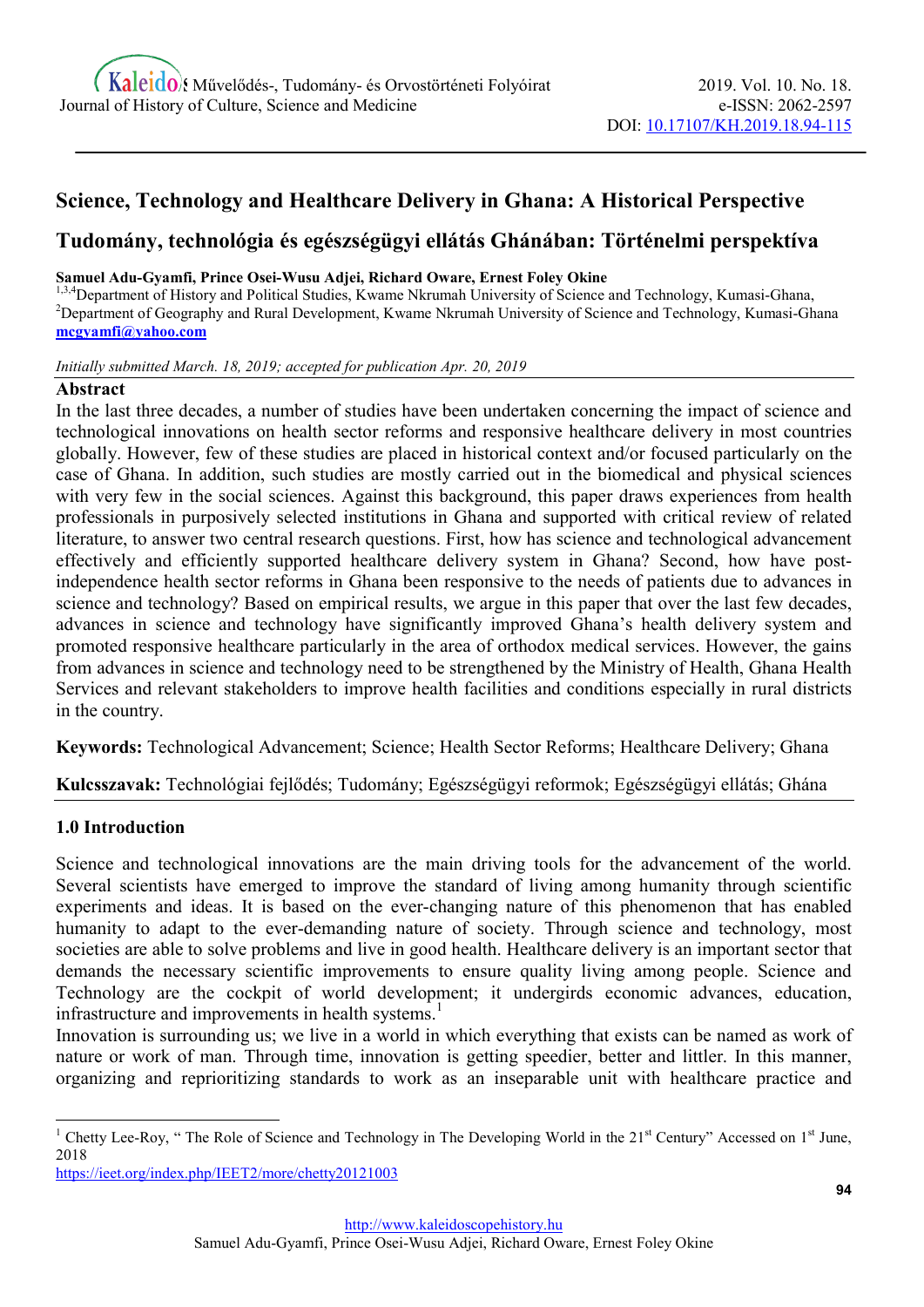# Science, Technology and Healthcare Delivery in Ghana: A Historical Perspective

# Tudomány, technológia és egészségügyi ellátás Ghánában: Történelmi perspektíva

#### Samuel Adu-Gyamfi, Prince Osei-Wusu Adjei, Richard Oware, Ernest Foley Okine

1,3,4 Department of History and Political Studies, Kwame Nkrumah University of Science and Technology, Kumasi-Ghana, <sup>2</sup>Department of Geography and Rural Development, Kwame Nkrumah University of Science and Technology, Kumasi-Ghana mcgyamfi@yahoo.com

Initially submitted March. 18, 2019; accepted for publication Apr. 20, 2019

#### Abstract

In the last three decades, a number of studies have been undertaken concerning the impact of science and technological innovations on health sector reforms and responsive healthcare delivery in most countries globally. However, few of these studies are placed in historical context and/or focused particularly on the case of Ghana. In addition, such studies are mostly carried out in the biomedical and physical sciences with very few in the social sciences. Against this background, this paper draws experiences from health professionals in purposively selected institutions in Ghana and supported with critical review of related literature, to answer two central research questions. First, how has science and technological advancement effectively and efficiently supported healthcare delivery system in Ghana? Second, how have postindependence health sector reforms in Ghana been responsive to the needs of patients due to advances in science and technology? Based on empirical results, we argue in this paper that over the last few decades, advances in science and technology have significantly improved Ghana's health delivery system and promoted responsive healthcare particularly in the area of orthodox medical services. However, the gains from advances in science and technology need to be strengthened by the Ministry of Health, Ghana Health Services and relevant stakeholders to improve health facilities and conditions especially in rural districts in the country.

Keywords: Technological Advancement; Science; Health Sector Reforms; Healthcare Delivery; Ghana

Kulcsszavak: Technológiai fejlődés; Tudomány; Egészségügyi reformok; Egészségügyi ellátás; Ghána

# 1.0 Introduction

-

Science and technological innovations are the main driving tools for the advancement of the world. Several scientists have emerged to improve the standard of living among humanity through scientific experiments and ideas. It is based on the ever-changing nature of this phenomenon that has enabled humanity to adapt to the ever-demanding nature of society. Through science and technology, most societies are able to solve problems and live in good health. Healthcare delivery is an important sector that demands the necessary scientific improvements to ensure quality living among people. Science and Technology are the cockpit of world development; it undergirds economic advances, education, infrastructure and improvements in health systems.<sup>1</sup>

Innovation is surrounding us; we live in a world in which everything that exists can be named as work of nature or work of man. Through time, innovation is getting speedier, better and littler. In this manner, organizing and reprioritizing standards to work as an inseparable unit with healthcare practice and

https://ieet.org/index.php/IEET2/more/chetty20121003

<sup>&</sup>lt;sup>1</sup> Chetty Lee-Roy, " The Role of Science and Technology in The Developing World in the 21<sup>st</sup> Century" Accessed on 1<sup>st</sup> June, 2018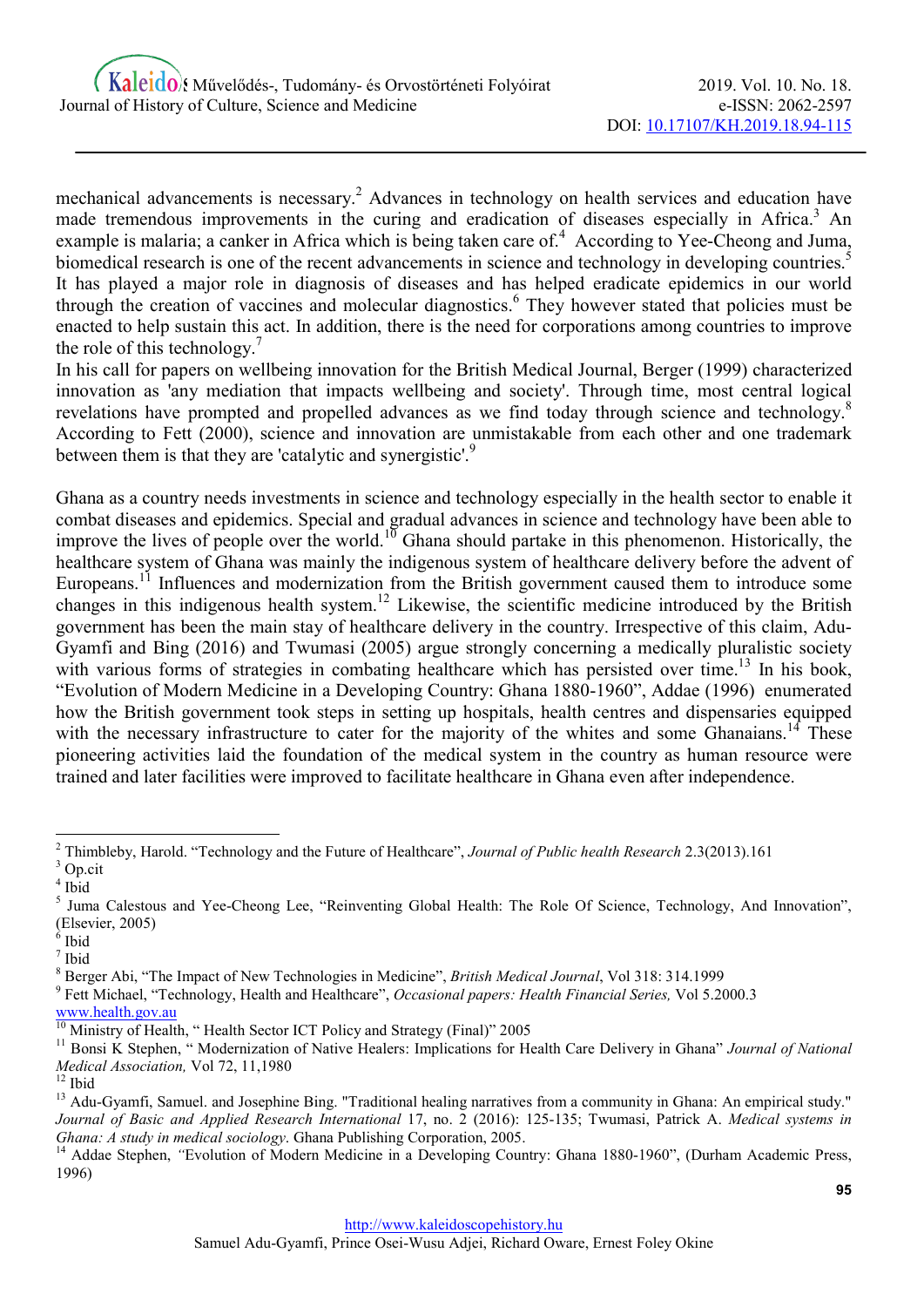mechanical advancements is necessary.<sup>2</sup> Advances in technology on health services and education have made tremendous improvements in the curing and eradication of diseases especially in Africa.<sup>3</sup> An example is malaria; a canker in Africa which is being taken care of.<sup>4</sup> According to Yee-Cheong and Juma, biomedical research is one of the recent advancements in science and technology in developing countries.<sup>5</sup> It has played a major role in diagnosis of diseases and has helped eradicate epidemics in our world through the creation of vaccines and molecular diagnostics.<sup>6</sup> They however stated that policies must be enacted to help sustain this act. In addition, there is the need for corporations among countries to improve the role of this technology.<sup>7</sup>

In his call for papers on wellbeing innovation for the British Medical Journal, Berger (1999) characterized innovation as 'any mediation that impacts wellbeing and society'. Through time, most central logical revelations have prompted and propelled advances as we find today through science and technology.<sup>8</sup> According to Fett (2000), science and innovation are unmistakable from each other and one trademark between them is that they are 'catalytic and synergistic'.<sup>9</sup>

Ghana as a country needs investments in science and technology especially in the health sector to enable it combat diseases and epidemics. Special and gradual advances in science and technology have been able to improve the lives of people over the world.<sup>10</sup> Ghana should partake in this phenomenon. Historically, the healthcare system of Ghana was mainly the indigenous system of healthcare delivery before the advent of Europeans.<sup>11</sup> Influences and modernization from the British government caused them to introduce some changes in this indigenous health system.<sup>12</sup> Likewise, the scientific medicine introduced by the British government has been the main stay of healthcare delivery in the country. Irrespective of this claim, Adu-Gyamfi and Bing (2016) and Twumasi (2005) argue strongly concerning a medically pluralistic society with various forms of strategies in combating healthcare which has persisted over time.<sup>13</sup> In his book, "Evolution of Modern Medicine in a Developing Country: Ghana 1880-1960", Addae (1996) enumerated how the British government took steps in setting up hospitals, health centres and dispensaries equipped with the necessary infrastructure to cater for the majority of the whites and some Ghanaians.<sup>14</sup> These pioneering activities laid the foundation of the medical system in the country as human resource were trained and later facilities were improved to facilitate healthcare in Ghana even after independence.

<sup>&</sup>lt;sup>2</sup> Thimbleby, Harold. "Technology and the Future of Healthcare", Journal of Public health Research 2.3(2013).161 <sup>3</sup> Op.cit

<sup>4</sup> Ibid

<sup>&</sup>lt;sup>5</sup> Juma Calestous and Yee-Cheong Lee, "Reinventing Global Health: The Role Of Science, Technology, And Innovation", (Elsevier, 2005)

 $6$  Ibid

<sup>7</sup> Ibid

<sup>&</sup>lt;sup>8</sup> Berger Abi, "The Impact of New Technologies in Medicine", British Medical Journal, Vol 318: 314.1999

<sup>&</sup>lt;sup>9</sup> Fett Michael, "Technology, Health and Healthcare", Occasional papers: Health Financial Series, Vol 5.2000.3

www.health.gov.au

 $\frac{10}{10}$  Ministry of Health, "Health Sector ICT Policy and Strategy (Final)" 2005

<sup>&</sup>lt;sup>11</sup> Bonsi K Stephen, " Modernization of Native Healers: Implications for Health Care Delivery in Ghana" Journal of National Medical Association, Vol 72, 11,1980

 $12$  Ibid

<sup>&</sup>lt;sup>13</sup> Adu-Gyamfi, Samuel. and Josephine Bing. "Traditional healing narratives from a community in Ghana: An empirical study." Journal of Basic and Applied Research International 17, no. 2 (2016): 125-135; Twumasi, Patrick A. Medical systems in Ghana: A study in medical sociology. Ghana Publishing Corporation, 2005.

<sup>&</sup>lt;sup>14</sup> Addae Stephen, "Evolution of Modern Medicine in a Developing Country: Ghana 1880-1960", (Durham Academic Press, 1996)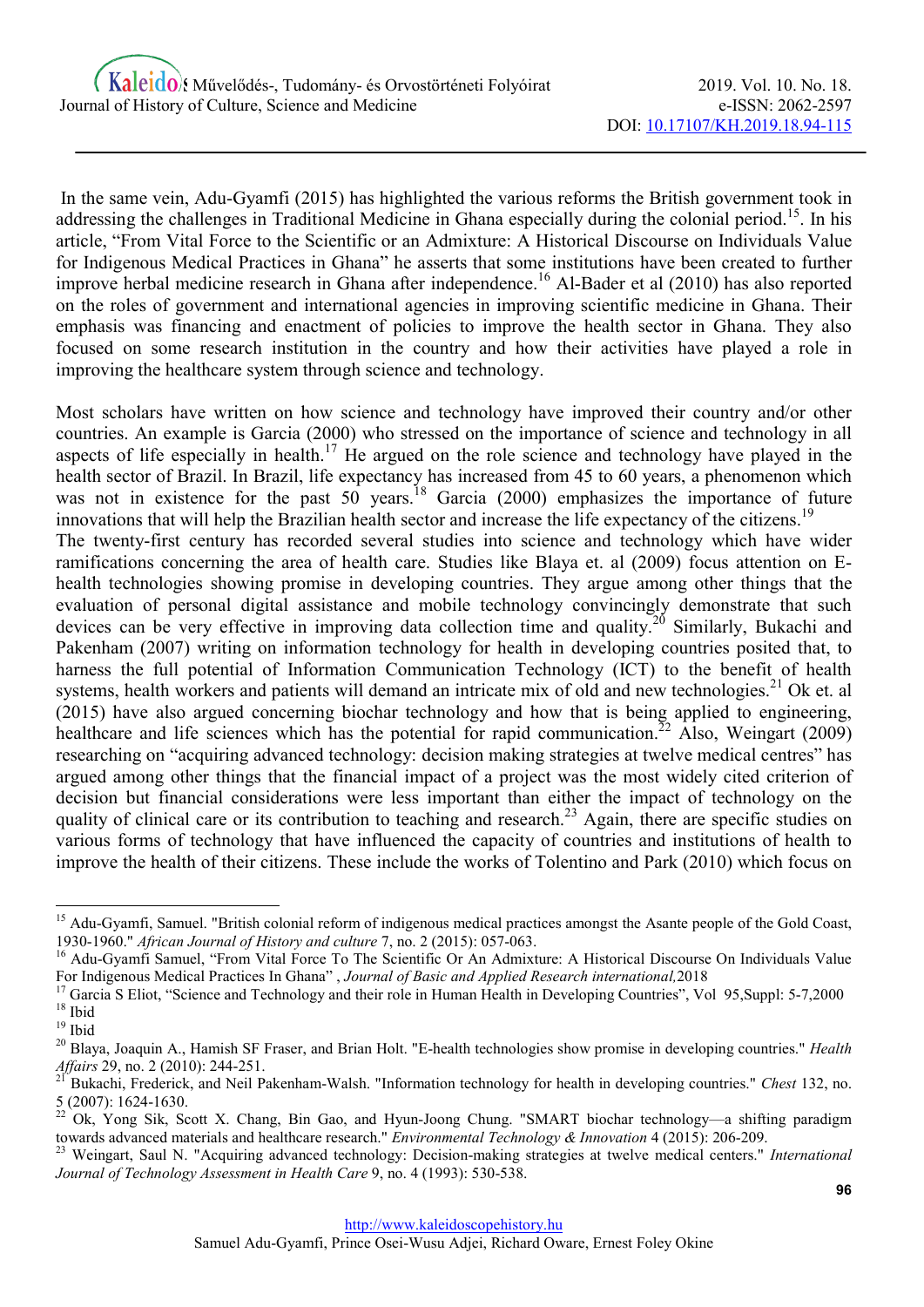In the same vein, Adu-Gyamfi (2015) has highlighted the various reforms the British government took in addressing the challenges in Traditional Medicine in Ghana especially during the colonial period.<sup>15</sup>. In his article, "From Vital Force to the Scientific or an Admixture: A Historical Discourse on Individuals Value for Indigenous Medical Practices in Ghana" he asserts that some institutions have been created to further improve herbal medicine research in Ghana after independence.<sup>16</sup> Al-Bader et al (2010) has also reported on the roles of government and international agencies in improving scientific medicine in Ghana. Their emphasis was financing and enactment of policies to improve the health sector in Ghana. They also focused on some research institution in the country and how their activities have played a role in improving the healthcare system through science and technology.

Most scholars have written on how science and technology have improved their country and/or other countries. An example is Garcia (2000) who stressed on the importance of science and technology in all aspects of life especially in health.<sup>17</sup> He argued on the role science and technology have played in the health sector of Brazil. In Brazil, life expectancy has increased from 45 to 60 years, a phenomenon which was not in existence for the past  $50$  years.<sup>18</sup> Garcia (2000) emphasizes the importance of future innovations that will help the Brazilian health sector and increase the life expectancy of the citizens.<sup>19</sup> The twenty-first century has recorded several studies into science and technology which have wider ramifications concerning the area of health care. Studies like Blaya et. al (2009) focus attention on Ehealth technologies showing promise in developing countries. They argue among other things that the evaluation of personal digital assistance and mobile technology convincingly demonstrate that such devices can be very effective in improving data collection time and quality.<sup>20</sup> Similarly, Bukachi and Pakenham (2007) writing on information technology for health in developing countries posited that, to harness the full potential of Information Communication Technology (ICT) to the benefit of health systems, health workers and patients will demand an intricate mix of old and new technologies.<sup>21</sup> Ok et. al (2015) have also argued concerning biochar technology and how that is being applied to engineering, healthcare and life sciences which has the potential for rapid communication.<sup>22</sup> Also, Weingart (2009) researching on "acquiring advanced technology: decision making strategies at twelve medical centres" has argued among other things that the financial impact of a project was the most widely cited criterion of decision but financial considerations were less important than either the impact of technology on the quality of clinical care or its contribution to teaching and research.<sup>23</sup> Again, there are specific studies on various forms of technology that have influenced the capacity of countries and institutions of health to improve the health of their citizens. These include the works of Tolentino and Park (2010) which focus on

<sup>&</sup>lt;sup>15</sup> Adu-Gyamfi, Samuel. "British colonial reform of indigenous medical practices amongst the Asante people of the Gold Coast, 1930-1960." African Journal of History and culture 7, no. 2 (2015): 057-063.

<sup>&</sup>lt;sup>16</sup> Adu-Gyamfi Samuel, "From Vital Force To The Scientific Or An Admixture: A Historical Discourse On Individuals Value For Indigenous Medical Practices In Ghana" , Journal of Basic and Applied Research international,2018

<sup>&</sup>lt;sup>17</sup> Garcia S Eliot, "Science and Technology and their role in Human Health in Developing Countries", Vol 95, Suppl: 5-7, 2000  $18$  Ibid

 $19$  Ibid

<sup>&</sup>lt;sup>20</sup> Blaya, Joaquin A., Hamish SF Fraser, and Brian Holt. "E-health technologies show promise in developing countries." Health Affairs 29, no. 2 (2010): 244-251.

<sup>&</sup>lt;sup>21</sup> Bukachi, Frederick, and Neil Pakenham-Walsh. "Information technology for health in developing countries." Chest 132, no. 5 (2007): 1624-1630.

<sup>22</sup> Ok, Yong Sik, Scott X. Chang, Bin Gao, and Hyun-Joong Chung. "SMART biochar technology—a shifting paradigm towards advanced materials and healthcare research." Environmental Technology & Innovation 4 (2015): 206-209.

Weingart, Saul N. "Acquiring advanced technology: Decision-making strategies at twelve medical centers." International Journal of Technology Assessment in Health Care 9, no. 4 (1993): 530-538.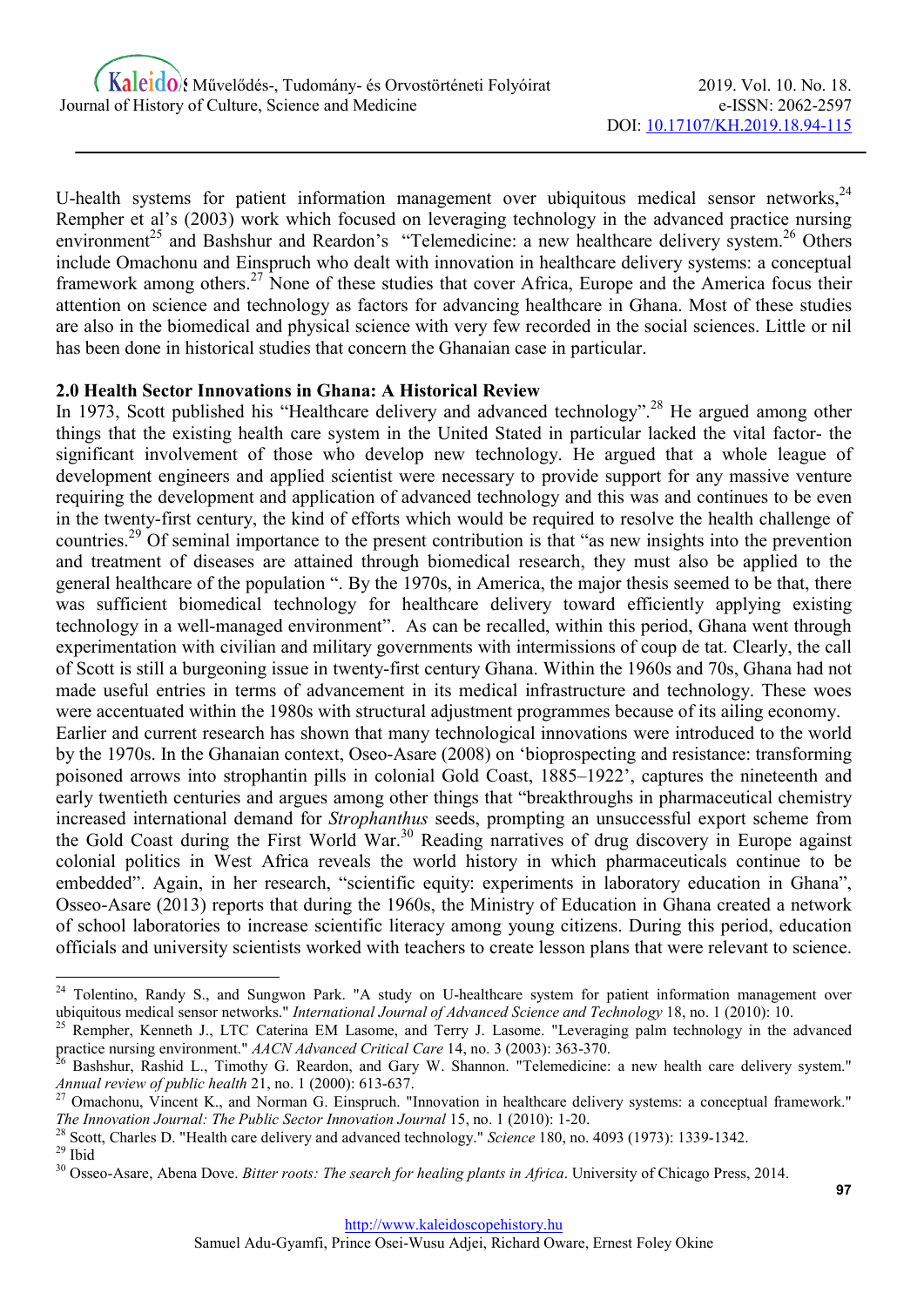U-health systems for patient information management over ubiquitous medical sensor networks.<sup>24</sup> Rempher et al's (2003) work which focused on leveraging technology in the advanced practice nursing environment<sup>25</sup> and Bashshur and Reardon's "Telemedicine: a new healthcare delivery system.<sup>26</sup> Others include Omachonu and Einspruch who dealt with innovation in healthcare delivery systems: a conceptual framework among others.<sup>27</sup> None of these studies that cover Africa, Europe and the America focus their attention on science and technology as factors for advancing healthcare in Ghana. Most of these studies are also in the biomedical and physical science with very few recorded in the social sciences. Little or nil has been done in historical studies that concern the Ghanaian case in particular.

#### 2.0 Health Sector Innovations in Ghana: A Historical Review

In 1973, Scott published his "Healthcare delivery and advanced technology".<sup>28</sup> He argued among other things that the existing health care system in the United Stated in particular lacked the vital factor- the significant involvement of those who develop new technology. He argued that a whole league of development engineers and applied scientist were necessary to provide support for any massive venture requiring the development and application of advanced technology and this was and continues to be even in the twenty-first century, the kind of efforts which would be required to resolve the health challenge of countries.<sup>29</sup> Of seminal importance to the present contribution is that "as new insights into the prevention and treatment of diseases are attained through biomedical research, they must also be applied to the general healthcare of the population ". By the 1970s, in America, the major thesis seemed to be that, there was sufficient biomedical technology for healthcare delivery toward efficiently applying existing technology in a well-managed environment". As can be recalled, within this period, Ghana went through experimentation with civilian and military governments with intermissions of coup de tat. Clearly, the call of Scott is still a burgeoning issue in twenty-first century Ghana. Within the 1960s and 70s, Ghana had not made useful entries in terms of advancement in its medical infrastructure and technology. These woes were accentuated within the 1980s with structural adjustment programmes because of its ailing economy.

Earlier and current research has shown that many technological innovations were introduced to the world by the 1970s. In the Ghanaian context, Oseo-Asare (2008) on 'bioprospecting and resistance: transforming poisoned arrows into strophantin pills in colonial Gold Coast, 1885–1922', captures the nineteenth and early twentieth centuries and argues among other things that "breakthroughs in pharmaceutical chemistry increased international demand for *Strophanthus* seeds, prompting an unsuccessful export scheme from the Gold Coast during the First World War.<sup>30</sup> Reading narratives of drug discovery in Europe against colonial politics in West Africa reveals the world history in which pharmaceuticals continue to be embedded". Again, in her research, "scientific equity: experiments in laboratory education in Ghana", Osseo-Asare (2013) reports that during the 1960s, the Ministry of Education in Ghana created a network of school laboratories to increase scientific literacy among young citizens. During this period, education officials and university scientists worked with teachers to create lesson plans that were relevant to science.

<sup>&</sup>lt;sup>24</sup> Tolentino, Randy S., and Sungwon Park. "A study on U-healthcare system for patient information management over ubiquitous medical sensor networks." International Journal of Advanced Science and Technology 18, no. 1 (2010): 10.

<sup>25</sup> Rempher, Kenneth J., LTC Caterina EM Lasome, and Terry J. Lasome. "Leveraging palm technology in the advanced practice nursing environment." AACN Advanced Critical Care 14, no. 3 (2003): 363-370.

<sup>26</sup> Bashshur, Rashid L., Timothy G. Reardon, and Gary W. Shannon. "Telemedicine: a new health care delivery system." Annual review of public health 21, no. 1 (2000): 613-637.

 $27$  Omachonu, Vincent K., and Norman G. Einspruch. "Innovation in healthcare delivery systems: a conceptual framework." The Innovation Journal: The Public Sector Innovation Journal 15, no. 1 (2010): 1-20.

<sup>&</sup>lt;sup>28</sup> Scott, Charles D. "Health care delivery and advanced technology." Science 180, no. 4093 (1973): 1339-1342.

 $29$  Ibid

<sup>&</sup>lt;sup>30</sup> Osseo-Asare, Abena Dove. Bitter roots: The search for healing plants in Africa. University of Chicago Press, 2014.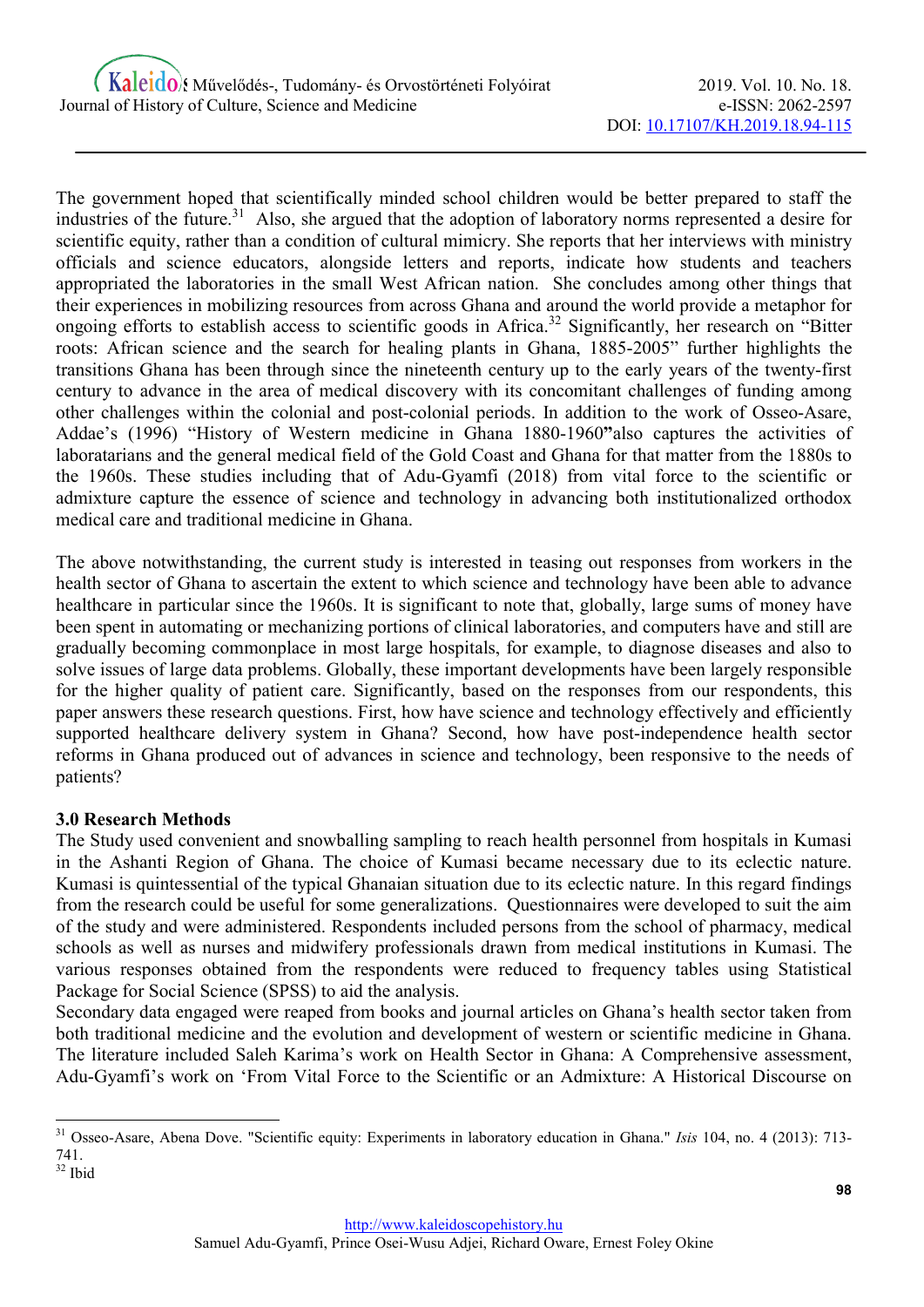The government hoped that scientifically minded school children would be better prepared to staff the industries of the future.<sup>31</sup> Also, she argued that the adoption of laboratory norms represented a desire for scientific equity, rather than a condition of cultural mimicry. She reports that her interviews with ministry officials and science educators, alongside letters and reports, indicate how students and teachers appropriated the laboratories in the small West African nation. She concludes among other things that their experiences in mobilizing resources from across Ghana and around the world provide a metaphor for ongoing efforts to establish access to scientific goods in Africa.<sup>32</sup> Significantly, her research on "Bitter" roots: African science and the search for healing plants in Ghana, 1885-2005" further highlights the transitions Ghana has been through since the nineteenth century up to the early years of the twenty-first century to advance in the area of medical discovery with its concomitant challenges of funding among other challenges within the colonial and post-colonial periods. In addition to the work of Osseo-Asare, Addae's (1996) "History of Western medicine in Ghana 1880-1960"also captures the activities of laboratarians and the general medical field of the Gold Coast and Ghana for that matter from the 1880s to the 1960s. These studies including that of Adu-Gyamfi (2018) from vital force to the scientific or admixture capture the essence of science and technology in advancing both institutionalized orthodox medical care and traditional medicine in Ghana.

The above notwithstanding, the current study is interested in teasing out responses from workers in the health sector of Ghana to ascertain the extent to which science and technology have been able to advance healthcare in particular since the 1960s. It is significant to note that, globally, large sums of money have been spent in automating or mechanizing portions of clinical laboratories, and computers have and still are gradually becoming commonplace in most large hospitals, for example, to diagnose diseases and also to solve issues of large data problems. Globally, these important developments have been largely responsible for the higher quality of patient care. Significantly, based on the responses from our respondents, this paper answers these research questions. First, how have science and technology effectively and efficiently supported healthcare delivery system in Ghana? Second, how have post-independence health sector reforms in Ghana produced out of advances in science and technology, been responsive to the needs of patients?

# 3.0 Research Methods

The Study used convenient and snowballing sampling to reach health personnel from hospitals in Kumasi in the Ashanti Region of Ghana. The choice of Kumasi became necessary due to its eclectic nature. Kumasi is quintessential of the typical Ghanaian situation due to its eclectic nature. In this regard findings from the research could be useful for some generalizations. Questionnaires were developed to suit the aim of the study and were administered. Respondents included persons from the school of pharmacy, medical schools as well as nurses and midwifery professionals drawn from medical institutions in Kumasi. The various responses obtained from the respondents were reduced to frequency tables using Statistical Package for Social Science (SPSS) to aid the analysis.

Secondary data engaged were reaped from books and journal articles on Ghana's health sector taken from both traditional medicine and the evolution and development of western or scientific medicine in Ghana. The literature included Saleh Karima's work on Health Sector in Ghana: A Comprehensive assessment, Adu-Gyamfi's work on 'From Vital Force to the Scientific or an Admixture: A Historical Discourse on

 $31$  Osseo-Asare, Abena Dove. "Scientific equity: Experiments in laboratory education in Ghana." Isis 104, no. 4 (2013): 713-741.

 $32$  Ibid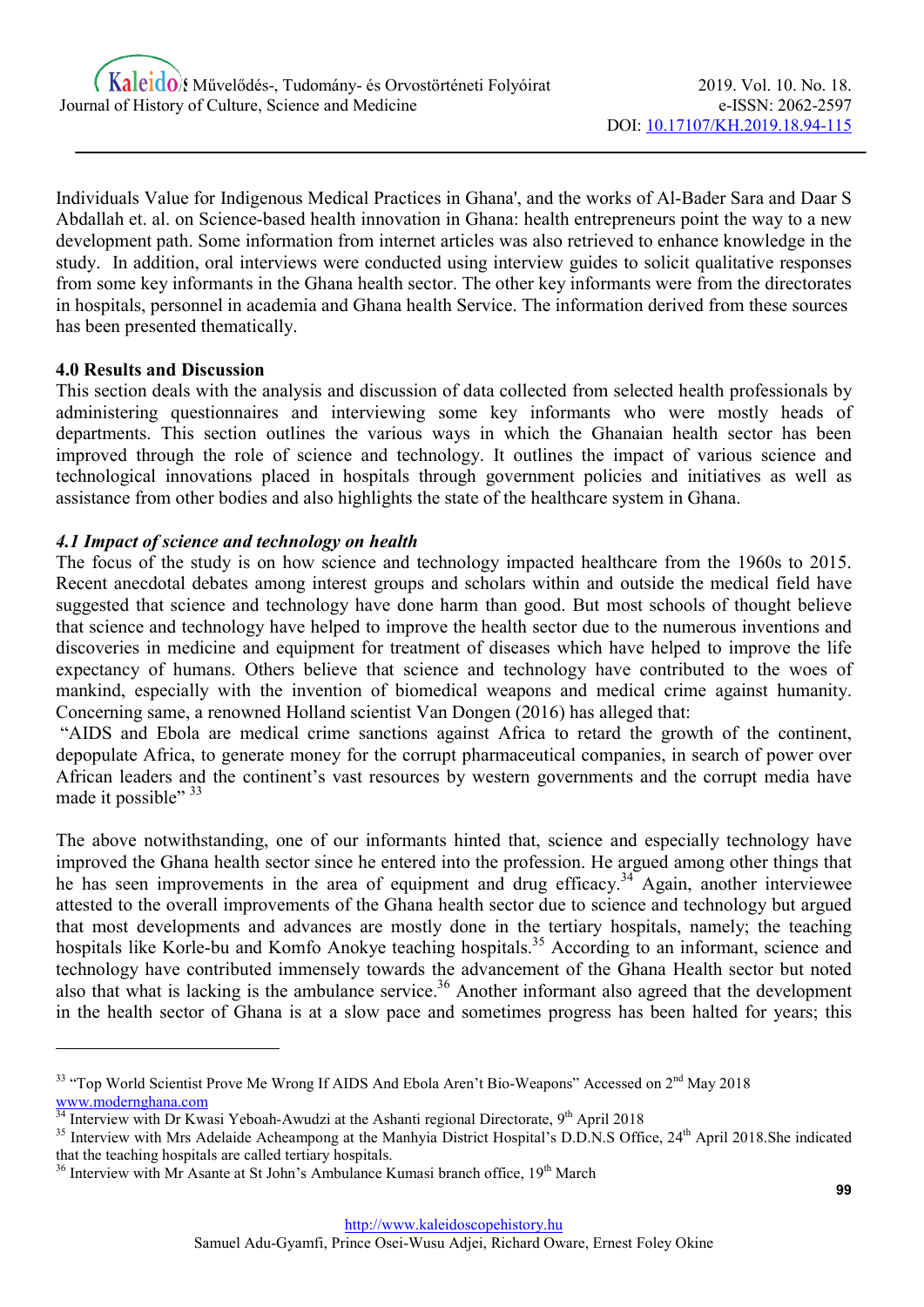Individuals Value for Indigenous Medical Practices in Ghana', and the works of Al-Bader Sara and Daar S Abdallah et. al. on Science-based health innovation in Ghana: health entrepreneurs point the way to a new development path. Some information from internet articles was also retrieved to enhance knowledge in the study. In addition, oral interviews were conducted using interview guides to solicit qualitative responses from some key informants in the Ghana health sector. The other key informants were from the directorates in hospitals, personnel in academia and Ghana health Service. The information derived from these sources has been presented thematically.

#### 4.0 Results and Discussion

-

This section deals with the analysis and discussion of data collected from selected health professionals by administering questionnaires and interviewing some key informants who were mostly heads of departments. This section outlines the various ways in which the Ghanaian health sector has been improved through the role of science and technology. It outlines the impact of various science and technological innovations placed in hospitals through government policies and initiatives as well as assistance from other bodies and also highlights the state of the healthcare system in Ghana.

#### 4.1 Impact of science and technology on health

The focus of the study is on how science and technology impacted healthcare from the 1960s to 2015. Recent anecdotal debates among interest groups and scholars within and outside the medical field have suggested that science and technology have done harm than good. But most schools of thought believe that science and technology have helped to improve the health sector due to the numerous inventions and discoveries in medicine and equipment for treatment of diseases which have helped to improve the life expectancy of humans. Others believe that science and technology have contributed to the woes of mankind, especially with the invention of biomedical weapons and medical crime against humanity. Concerning same, a renowned Holland scientist Van Dongen (2016) has alleged that:

 "AIDS and Ebola are medical crime sanctions against Africa to retard the growth of the continent, depopulate Africa, to generate money for the corrupt pharmaceutical companies, in search of power over African leaders and the continent's vast resources by western governments and the corrupt media have made it possible" 33

The above notwithstanding, one of our informants hinted that, science and especially technology have improved the Ghana health sector since he entered into the profession. He argued among other things that he has seen improvements in the area of equipment and drug efficacy.<sup>34</sup> Again, another interviewee attested to the overall improvements of the Ghana health sector due to science and technology but argued that most developments and advances are mostly done in the tertiary hospitals, namely; the teaching hospitals like Korle-bu and Komfo Anokye teaching hospitals.<sup>35</sup> According to an informant, science and hospitals like Korle-bu and Komfo Anokye teaching hospitals.<sup>35</sup> technology have contributed immensely towards the advancement of the Ghana Health sector but noted also that what is lacking is the ambulance service.<sup>36</sup> Another informant also agreed that the development in the health sector of Ghana is at a slow pace and sometimes progress has been halted for years; this

<sup>&</sup>lt;sup>33</sup> "Top World Scientist Prove Me Wrong If AIDS And Ebola Aren't Bio-Weapons" Accessed on 2<sup>nd</sup> May 2018 www.modernghana.com

 $\frac{34 \text{}}{34 \text{}}$  Interview with Dr Kwasi Yeboah-Awudzi at the Ashanti regional Directorate, 9<sup>th</sup> April 2018

<sup>&</sup>lt;sup>35</sup> Interview with Mrs Adelaide Acheampong at the Manhyia District Hospital's D.D.N.S Office, 24<sup>th</sup> April 2018.She indicated that the teaching hospitals are called tertiary hospitals.

<sup>&</sup>lt;sup>36</sup> Interview with Mr Asante at St John's Ambulance Kumasi branch office, 19<sup>th</sup> March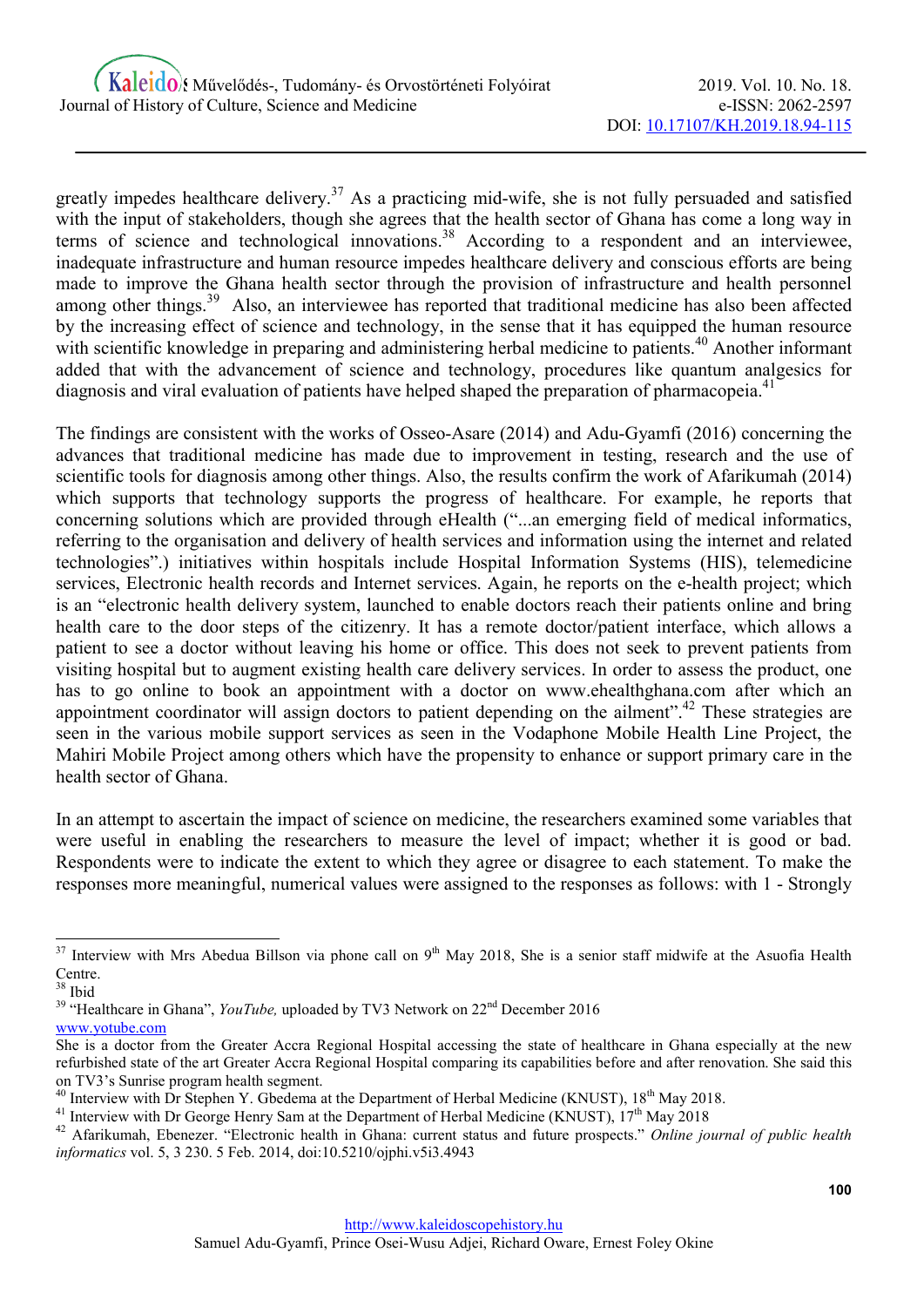greatly impedes healthcare delivery.<sup>37</sup> As a practicing mid-wife, she is not fully persuaded and satisfied with the input of stakeholders, though she agrees that the health sector of Ghana has come a long way in terms of science and technological innovations.<sup>38</sup> According to a respondent and an interviewee, inadequate infrastructure and human resource impedes healthcare delivery and conscious efforts are being made to improve the Ghana health sector through the provision of infrastructure and health personnel among other things.<sup>39</sup> Also, an interviewee has reported that traditional medicine has also been affected by the increasing effect of science and technology, in the sense that it has equipped the human resource with scientific knowledge in preparing and administering herbal medicine to patients.<sup>40</sup> Another informant added that with the advancement of science and technology, procedures like quantum analgesics for diagnosis and viral evaluation of patients have helped shaped the preparation of pharmacopeia.<sup>41</sup>

The findings are consistent with the works of Osseo-Asare (2014) and Adu-Gyamfi (2016) concerning the advances that traditional medicine has made due to improvement in testing, research and the use of scientific tools for diagnosis among other things. Also, the results confirm the work of Afarikumah (2014) which supports that technology supports the progress of healthcare. For example, he reports that concerning solutions which are provided through eHealth ("...an emerging field of medical informatics, referring to the organisation and delivery of health services and information using the internet and related technologies".) initiatives within hospitals include Hospital Information Systems (HIS), telemedicine services, Electronic health records and Internet services. Again, he reports on the e-health project; which is an "electronic health delivery system, launched to enable doctors reach their patients online and bring health care to the door steps of the citizenry. It has a remote doctor/patient interface, which allows a patient to see a doctor without leaving his home or office. This does not seek to prevent patients from visiting hospital but to augment existing health care delivery services. In order to assess the product, one has to go online to book an appointment with a doctor on www.ehealthghana.com after which an appointment coordinator will assign doctors to patient depending on the ailment".<sup>42</sup> These strategies are seen in the various mobile support services as seen in the Vodaphone Mobile Health Line Project, the Mahiri Mobile Project among others which have the propensity to enhance or support primary care in the health sector of Ghana.

In an attempt to ascertain the impact of science on medicine, the researchers examined some variables that were useful in enabling the researchers to measure the level of impact; whether it is good or bad. Respondents were to indicate the extent to which they agree or disagree to each statement. To make the responses more meaningful, numerical values were assigned to the responses as follows: with 1 - Strongly

 $37$  Interview with Mrs Abedua Billson via phone call on  $9<sup>th</sup>$  May 2018, She is a senior staff midwife at the Asuofia Health Centre.

<sup>38</sup> Ibid

<sup>&</sup>lt;sup>39</sup> "Healthcare in Ghana", *YouTube*, uploaded by TV3 Network on  $22<sup>nd</sup>$  December 2016 www.yotube.com

She is a doctor from the Greater Accra Regional Hospital accessing the state of healthcare in Ghana especially at the new refurbished state of the art Greater Accra Regional Hospital comparing its capabilities before and after renovation. She said this on TV3's Sunrise program health segment.

Interview with Dr Stephen Y. Gbedema at the Department of Herbal Medicine (KNUST), 18<sup>th</sup> May 2018.

<sup>&</sup>lt;sup>41</sup> Interview with Dr George Henry Sam at the Department of Herbal Medicine (KNUST), 17<sup>th</sup> May 2018

<sup>&</sup>lt;sup>42</sup> Afarikumah, Ebenezer. "Electronic health in Ghana: current status and future prospects." Online journal of public health informatics vol. 5, 3 230. 5 Feb. 2014, doi:10.5210/ojphi.v5i3.4943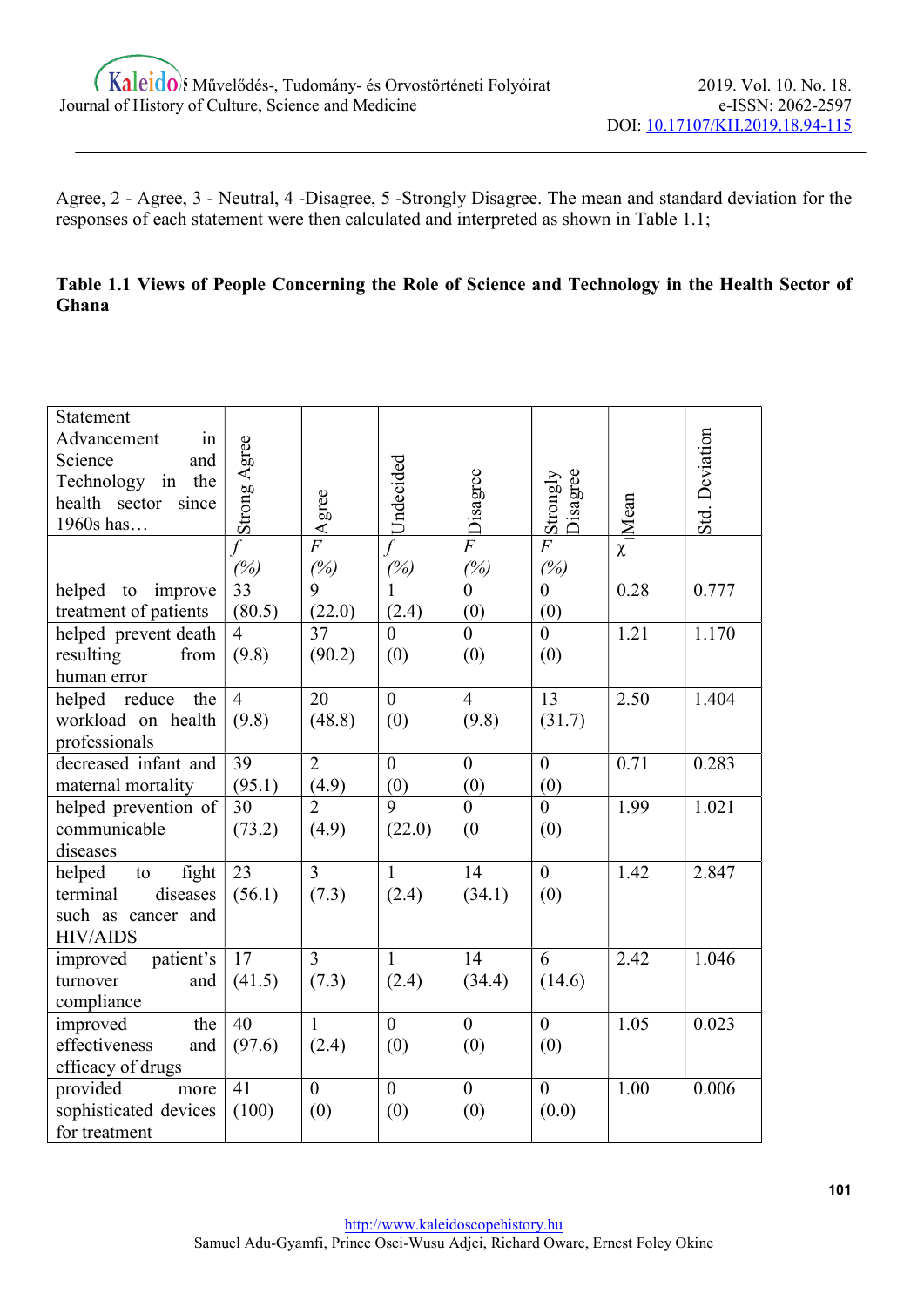Agree, 2 - Agree, 3 - Neutral, 4 -Disagree, 5 -Strongly Disagree. The mean and standard deviation for the responses of each statement were then calculated and interpreted as shown in Table 1.1;

# Table 1.1 Views of People Concerning the Role of Science and Technology in the Health Sector of Ghana

| Statement                                 |                 |                |                |                 |                      |                 |                |
|-------------------------------------------|-----------------|----------------|----------------|-----------------|----------------------|-----------------|----------------|
| Advancement<br>in                         |                 |                |                |                 |                      |                 | Std. Deviation |
| Science<br>and                            |                 |                |                |                 |                      |                 |                |
| Technology in the                         |                 |                | Undecided      |                 |                      |                 |                |
| health sector since                       |                 |                |                |                 |                      |                 |                |
| 1960s has                                 | Strong Agree    | Agree          |                | Disagree        | Disagree<br>Strongly | $\approx$  Mean |                |
|                                           | $\overline{f}$  | $\overline{F}$ | $\overline{f}$ | $\overline{F}$  | $\overline{F}$       |                 |                |
|                                           | (%)             | (%)            | (%)            | (%)             | (%)                  |                 |                |
| improve<br>helped<br>to                   | 33              | 9              | $\mathbf{1}$   | $\theta$        | $\overline{0}$       | 0.28            | 0.777          |
| treatment of patients                     | (80.5)          | (22.0)         | (2.4)          | (0)             | (0)                  |                 |                |
| helped prevent death                      | $\overline{4}$  | 37             | $\overline{0}$ | $\theta$        | $\overline{0}$       | 1.21            | 1.170          |
| resulting<br>from                         | (9.8)           | (90.2)         | (0)            | (0)             | (0)                  |                 |                |
| human error                               |                 |                |                |                 |                      |                 |                |
| the<br>helped reduce                      | $\overline{4}$  | 20             | $\overline{0}$ | $\overline{4}$  | 13                   | 2.50            | 1.404          |
| workload on health                        | (9.8)           | (48.8)         | (0)            | (9.8)           | (31.7)               |                 |                |
| professionals                             |                 |                |                |                 |                      |                 |                |
| decreased infant and                      | $\overline{39}$ | $\overline{2}$ | $\mathbf{0}$   | $\mathbf{0}$    | $\overline{0}$       | 0.71            | 0.283          |
| maternal mortality                        | (95.1)          | (4.9)          | (0)            | (0)             | (0)                  |                 |                |
| helped prevention of                      | 30              | $\overline{2}$ | $\overline{9}$ | $\overline{0}$  | $\overline{0}$       | 1.99            | 1.021          |
| communicable                              | (73.2)          | (4.9)          | (22.0)         | (0)             | (0)                  |                 |                |
| diseases                                  |                 |                |                |                 |                      |                 |                |
| fight<br>$\mathop{\mathrm{to}}$<br>helped | $\overline{23}$ | $\overline{3}$ | $\overline{1}$ | $\overline{14}$ | $\overline{0}$       | 1.42            | 2.847          |
| diseases<br>terminal                      | (56.1)          | (7.3)          | (2.4)          | (34.1)          | (0)                  |                 |                |
| such as cancer and                        |                 |                |                |                 |                      |                 |                |
| <b>HIV/AIDS</b>                           |                 |                |                |                 |                      |                 |                |
| patient's<br>improved                     | 17              | $\overline{3}$ | $\mathbf{1}$   | 14              | 6                    | 2.42            | 1.046          |
| turnover<br>and                           | (41.5)          | (7.3)          | (2.4)          | (34.4)          | (14.6)               |                 |                |
| compliance                                |                 |                |                |                 |                      |                 |                |
| improved<br>the                           | 40              | $\mathbf{1}$   | $\overline{0}$ | $\mathbf{0}$    | $\overline{0}$       | 1.05            | 0.023          |
| effectiveness<br>and                      | (97.6)          | (2.4)          | (0)            | (0)             | (0)                  |                 |                |
| efficacy of drugs                         |                 |                |                |                 |                      |                 |                |
| provided<br>more                          | 41              | $\overline{0}$ | $\overline{0}$ | $\overline{0}$  | $\overline{0}$       | 1.00            | 0.006          |
| sophisticated devices                     | (100)           | (0)            | (0)            | (0)             | (0.0)                |                 |                |
| for treatment                             |                 |                |                |                 |                      |                 |                |
|                                           |                 |                |                |                 |                      |                 |                |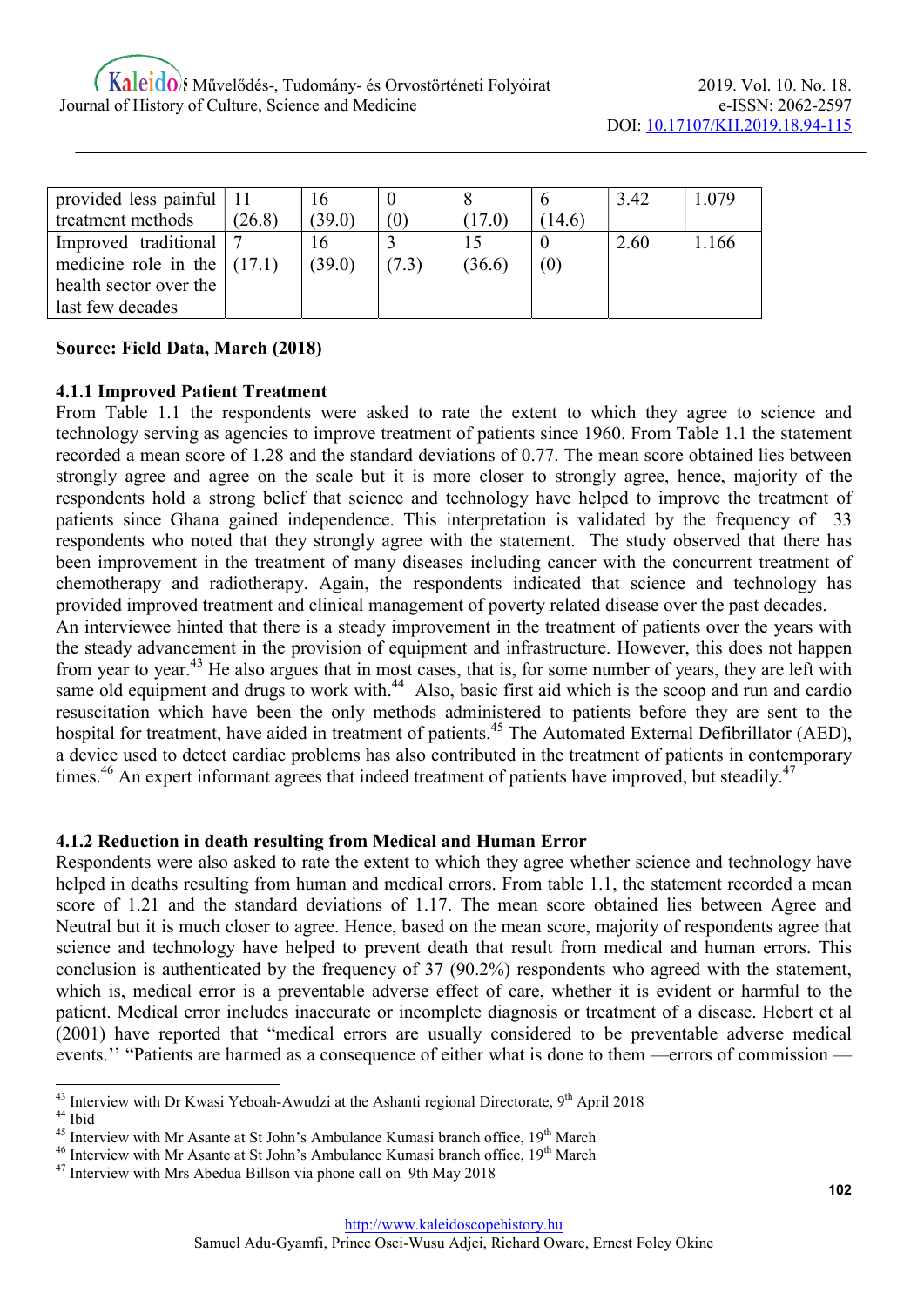| provided less painful $ 11$   |        | 16     |          |        |      | 3.42 | 1.079 |
|-------------------------------|--------|--------|----------|--------|------|------|-------|
| treatment methods             | (26.8) | (39.0) | $\sigma$ |        | 14.6 |      |       |
| Improved traditional          |        | 16     |          |        |      | 2.60 | .166  |
| medicine role in the $(17.1)$ |        | (39.0) | (7.3)    | (36.6) | (0)  |      |       |
| health sector over the        |        |        |          |        |      |      |       |
| last few decades              |        |        |          |        |      |      |       |

# Source: Field Data, March (2018)

#### 4.1.1 Improved Patient Treatment

From Table 1.1 the respondents were asked to rate the extent to which they agree to science and technology serving as agencies to improve treatment of patients since 1960. From Table 1.1 the statement recorded a mean score of 1.28 and the standard deviations of 0.77. The mean score obtained lies between strongly agree and agree on the scale but it is more closer to strongly agree, hence, majority of the respondents hold a strong belief that science and technology have helped to improve the treatment of patients since Ghana gained independence. This interpretation is validated by the frequency of 33 respondents who noted that they strongly agree with the statement. The study observed that there has been improvement in the treatment of many diseases including cancer with the concurrent treatment of chemotherapy and radiotherapy. Again, the respondents indicated that science and technology has provided improved treatment and clinical management of poverty related disease over the past decades.

An interviewee hinted that there is a steady improvement in the treatment of patients over the years with the steady advancement in the provision of equipment and infrastructure. However, this does not happen from year to year.<sup>43</sup> He also argues that in most cases, that is, for some number of years, they are left with same old equipment and drugs to work with.<sup>44</sup> Also, basic first aid which is the scoop and run and cardio resuscitation which have been the only methods administered to patients before they are sent to the hospital for treatment, have aided in treatment of patients.<sup>45</sup> The Automated External Defibrillator (AED), a device used to detect cardiac problems has also contributed in the treatment of patients in contemporary times.<sup>46</sup> An expert informant agrees that indeed treatment of patients have improved, but steadily.<sup>47</sup>

#### 4.1.2 Reduction in death resulting from Medical and Human Error

Respondents were also asked to rate the extent to which they agree whether science and technology have helped in deaths resulting from human and medical errors. From table 1.1, the statement recorded a mean score of 1.21 and the standard deviations of 1.17. The mean score obtained lies between Agree and Neutral but it is much closer to agree. Hence, based on the mean score, majority of respondents agree that science and technology have helped to prevent death that result from medical and human errors. This conclusion is authenticated by the frequency of 37 (90.2%) respondents who agreed with the statement, which is, medical error is a preventable adverse effect of care, whether it is evident or harmful to the patient. Medical error includes inaccurate or incomplete diagnosis or treatment of a disease. Hebert et al (2001) have reported that "medical errors are usually considered to be preventable adverse medical events.'' "Patients are harmed as a consequence of either what is done to them —errors of commission —

 $43$  Interview with Dr Kwasi Yeboah-Awudzi at the Ashanti regional Directorate,  $9<sup>th</sup>$  April 2018 <sup>44</sup> Ibid

 $45$  Interview with Mr Asante at St John's Ambulance Kumasi branch office,  $19<sup>th</sup>$  March

 $46$  Interview with Mr Asante at St John's Ambulance Kumasi branch office,  $19<sup>th</sup>$  March

<sup>&</sup>lt;sup>47</sup> Interview with Mrs Abedua Billson via phone call on 9th May 2018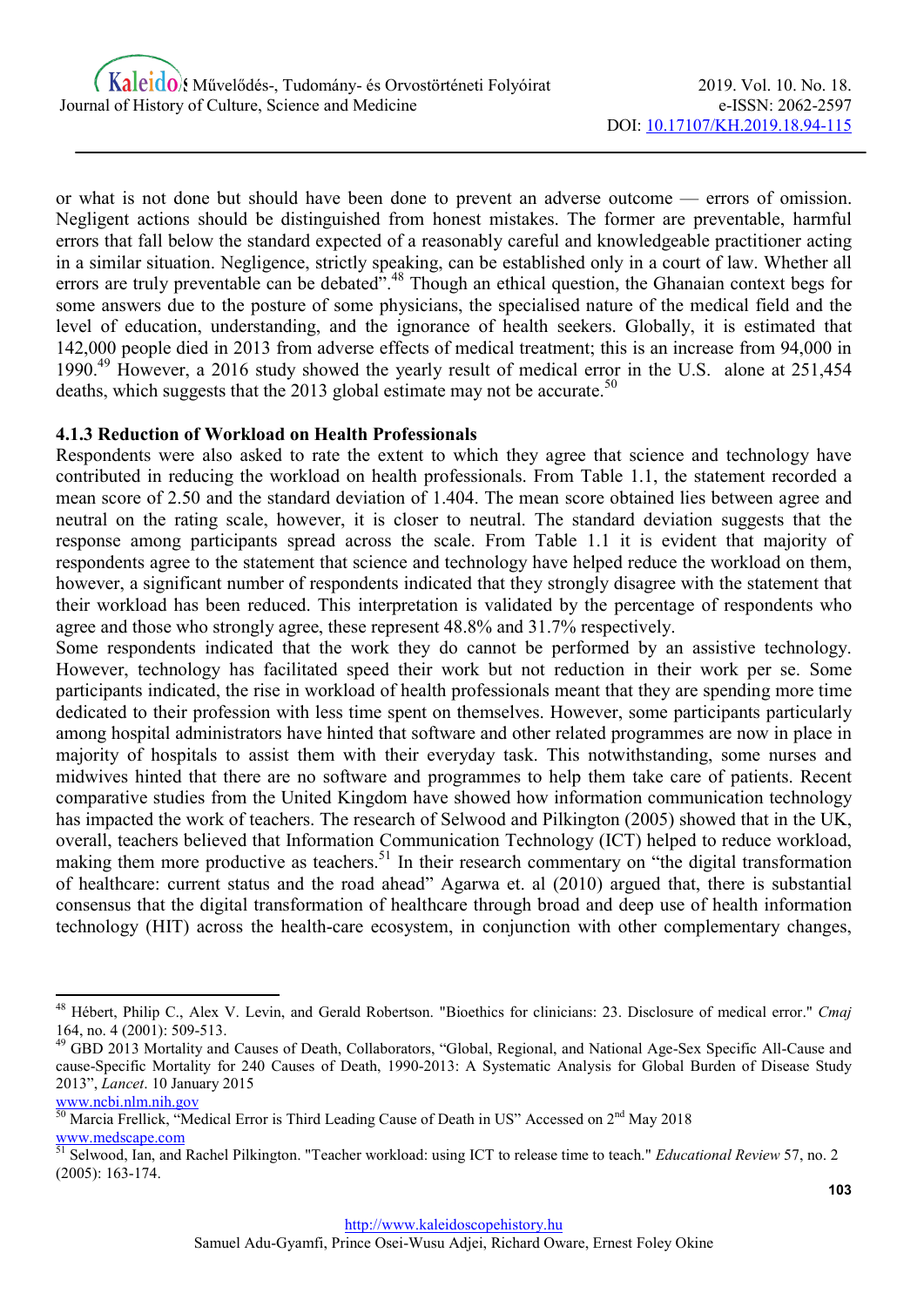or what is not done but should have been done to prevent an adverse outcome — errors of omission. Negligent actions should be distinguished from honest mistakes. The former are preventable, harmful errors that fall below the standard expected of a reasonably careful and knowledgeable practitioner acting in a similar situation. Negligence, strictly speaking, can be established only in a court of law. Whether all errors are truly preventable can be debated".<sup>48</sup> Though an ethical question, the Ghanaian context begs for some answers due to the posture of some physicians, the specialised nature of the medical field and the level of education, understanding, and the ignorance of health seekers. Globally, it is estimated that 142,000 people died in 2013 from adverse effects of medical treatment; this is an increase from 94,000 in 1990.<sup>49</sup> However, a 2016 study showed the yearly result of medical error in the U.S. alone at 251,454 deaths, which suggests that the 2013 global estimate may not be accurate.<sup>50</sup>

#### 4.1.3 Reduction of Workload on Health Professionals

Respondents were also asked to rate the extent to which they agree that science and technology have contributed in reducing the workload on health professionals. From Table 1.1, the statement recorded a mean score of 2.50 and the standard deviation of 1.404. The mean score obtained lies between agree and neutral on the rating scale, however, it is closer to neutral. The standard deviation suggests that the response among participants spread across the scale. From Table 1.1 it is evident that majority of respondents agree to the statement that science and technology have helped reduce the workload on them, however, a significant number of respondents indicated that they strongly disagree with the statement that their workload has been reduced. This interpretation is validated by the percentage of respondents who agree and those who strongly agree, these represent 48.8% and 31.7% respectively.

Some respondents indicated that the work they do cannot be performed by an assistive technology. However, technology has facilitated speed their work but not reduction in their work per se. Some participants indicated, the rise in workload of health professionals meant that they are spending more time dedicated to their profession with less time spent on themselves. However, some participants particularly among hospital administrators have hinted that software and other related programmes are now in place in majority of hospitals to assist them with their everyday task. This notwithstanding, some nurses and midwives hinted that there are no software and programmes to help them take care of patients. Recent comparative studies from the United Kingdom have showed how information communication technology has impacted the work of teachers. The research of Selwood and Pilkington (2005) showed that in the UK, overall, teachers believed that Information Communication Technology (ICT) helped to reduce workload, making them more productive as teachers.<sup>51</sup> In their research commentary on "the digital transformation" of healthcare: current status and the road ahead" Agarwa et. al (2010) argued that, there is substantial consensus that the digital transformation of healthcare through broad and deep use of health information technology (HIT) across the health-care ecosystem, in conjunction with other complementary changes,

www.ncbi.nlm.nih.gov

<sup>&</sup>lt;sup>48</sup> Hébert, Philip C., Alex V. Levin, and Gerald Robertson. "Bioethics for clinicians: 23. Disclosure of medical error." Cmaj 164, no. 4 (2001): 509-513.

<sup>49</sup> GBD 2013 Mortality and Causes of Death, Collaborators, "Global, Regional, and National Age-Sex Specific All-Cause and cause-Specific Mortality for 240 Causes of Death, 1990-2013: A Systematic Analysis for Global Burden of Disease Study 2013", Lancet. 10 January 2015

 $\frac{50}{10}$  Marcia Frellick, "Medical Error is Third Leading Cause of Death in US" Accessed on  $2<sup>nd</sup>$  May 2018 www.medscape.com

<sup>&</sup>lt;sup>51</sup> Selwood, Ian, and Rachel Pilkington. "Teacher workload: using ICT to release time to teach." Educational Review 57, no. 2 (2005): 163-174.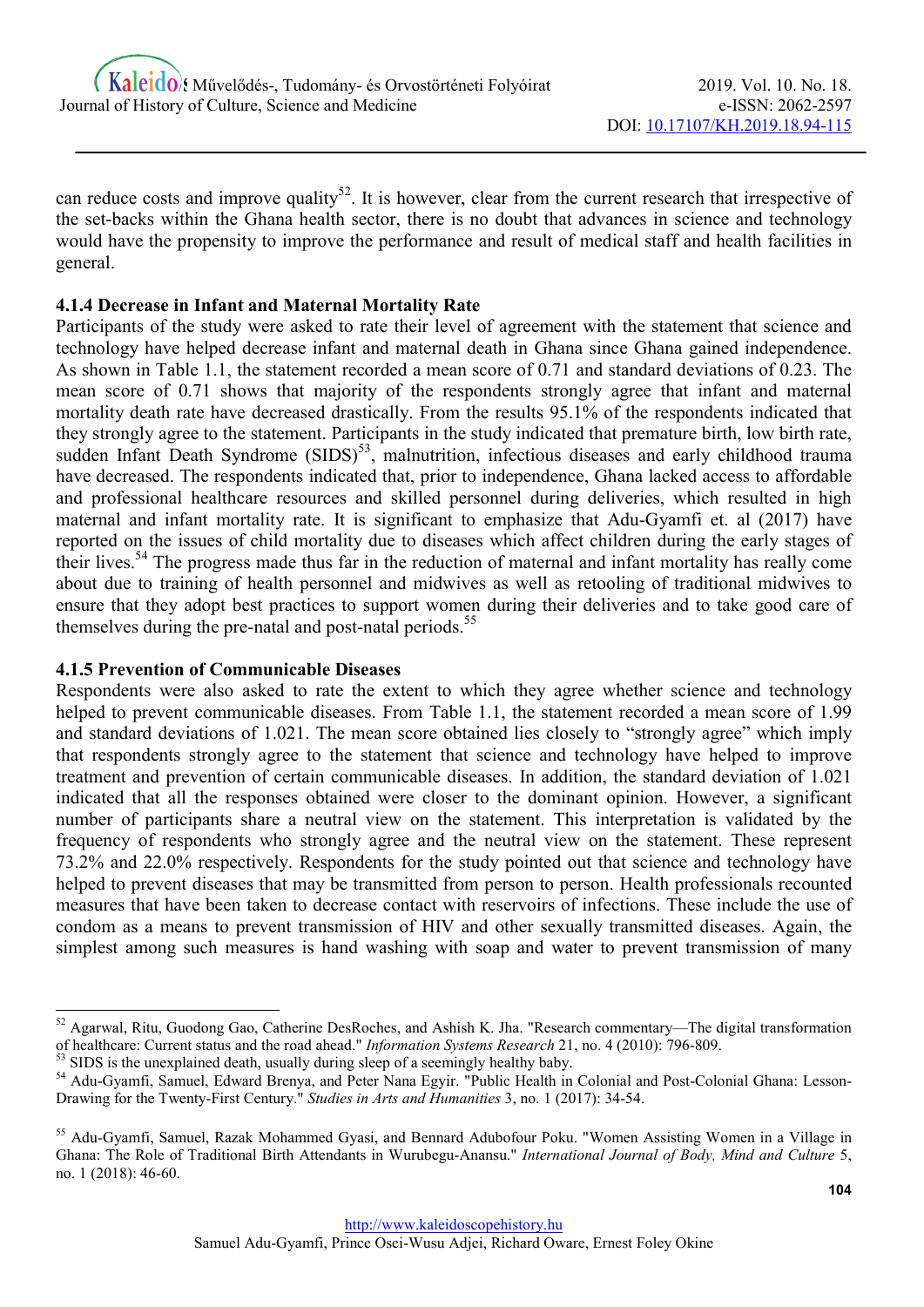can reduce costs and improve quality<sup>52</sup>. It is however, clear from the current research that irrespective of the set-backs within the Ghana health sector, there is no doubt that advances in science and technology would have the propensity to improve the performance and result of medical staff and health facilities in general.

# 4.1.4 Decrease in Infant and Maternal Mortality Rate

Participants of the study were asked to rate their level of agreement with the statement that science and technology have helped decrease infant and maternal death in Ghana since Ghana gained independence. As shown in Table 1.1, the statement recorded a mean score of 0.71 and standard deviations of 0.23. The mean score of 0.71 shows that majority of the respondents strongly agree that infant and maternal mortality death rate have decreased drastically. From the results 95.1% of the respondents indicated that they strongly agree to the statement. Participants in the study indicated that premature birth, low birth rate, sudden Infant Death Syndrome (SIDS)<sup>53</sup>, malnutrition, infectious diseases and early childhood trauma have decreased. The respondents indicated that, prior to independence, Ghana lacked access to affordable and professional healthcare resources and skilled personnel during deliveries, which resulted in high maternal and infant mortality rate. It is significant to emphasize that Adu-Gyamfi et. al (2017) have reported on the issues of child mortality due to diseases which affect children during the early stages of their lives.<sup>54</sup> The progress made thus far in the reduction of maternal and infant mortality has really come about due to training of health personnel and midwives as well as retooling of traditional midwives to ensure that they adopt best practices to support women during their deliveries and to take good care of themselves during the pre-natal and post-natal periods.<sup>55</sup>

# 4.1.5 Prevention of Communicable Diseases

-

Respondents were also asked to rate the extent to which they agree whether science and technology helped to prevent communicable diseases. From Table 1.1, the statement recorded a mean score of 1.99 and standard deviations of 1.021. The mean score obtained lies closely to "strongly agree" which imply that respondents strongly agree to the statement that science and technology have helped to improve treatment and prevention of certain communicable diseases. In addition, the standard deviation of 1.021 indicated that all the responses obtained were closer to the dominant opinion. However, a significant number of participants share a neutral view on the statement. This interpretation is validated by the frequency of respondents who strongly agree and the neutral view on the statement. These represent 73.2% and 22.0% respectively. Respondents for the study pointed out that science and technology have helped to prevent diseases that may be transmitted from person to person. Health professionals recounted measures that have been taken to decrease contact with reservoirs of infections. These include the use of condom as a means to prevent transmission of HIV and other sexually transmitted diseases. Again, the simplest among such measures is hand washing with soap and water to prevent transmission of many

<sup>52</sup> Agarwal, Ritu, Guodong Gao, Catherine DesRoches, and Ashish K. Jha. "Research commentary—The digital transformation of healthcare: Current status and the road ahead." Information Systems Research 21, no. 4 (2010): 796-809.

<sup>&</sup>lt;sup>53</sup> SIDS is the unexplained death, usually during sleep of a seemingly healthy baby.

<sup>&</sup>lt;sup>54</sup> Adu-Gyamfi, Samuel, Edward Brenya, and Peter Nana Egyir. "Public Health in Colonial and Post-Colonial Ghana: Lesson-Drawing for the Twenty-First Century." Studies in Arts and Humanities 3, no. 1 (2017): 34-54.

<sup>&</sup>lt;sup>55</sup> Adu-Gyamfi, Samuel, Razak Mohammed Gyasi, and Bennard Adubofour Poku. "Women Assisting Women in a Village in Ghana: The Role of Traditional Birth Attendants in Wurubegu-Anansu." International Journal of Body, Mind and Culture 5, no. 1 (2018): 46-60.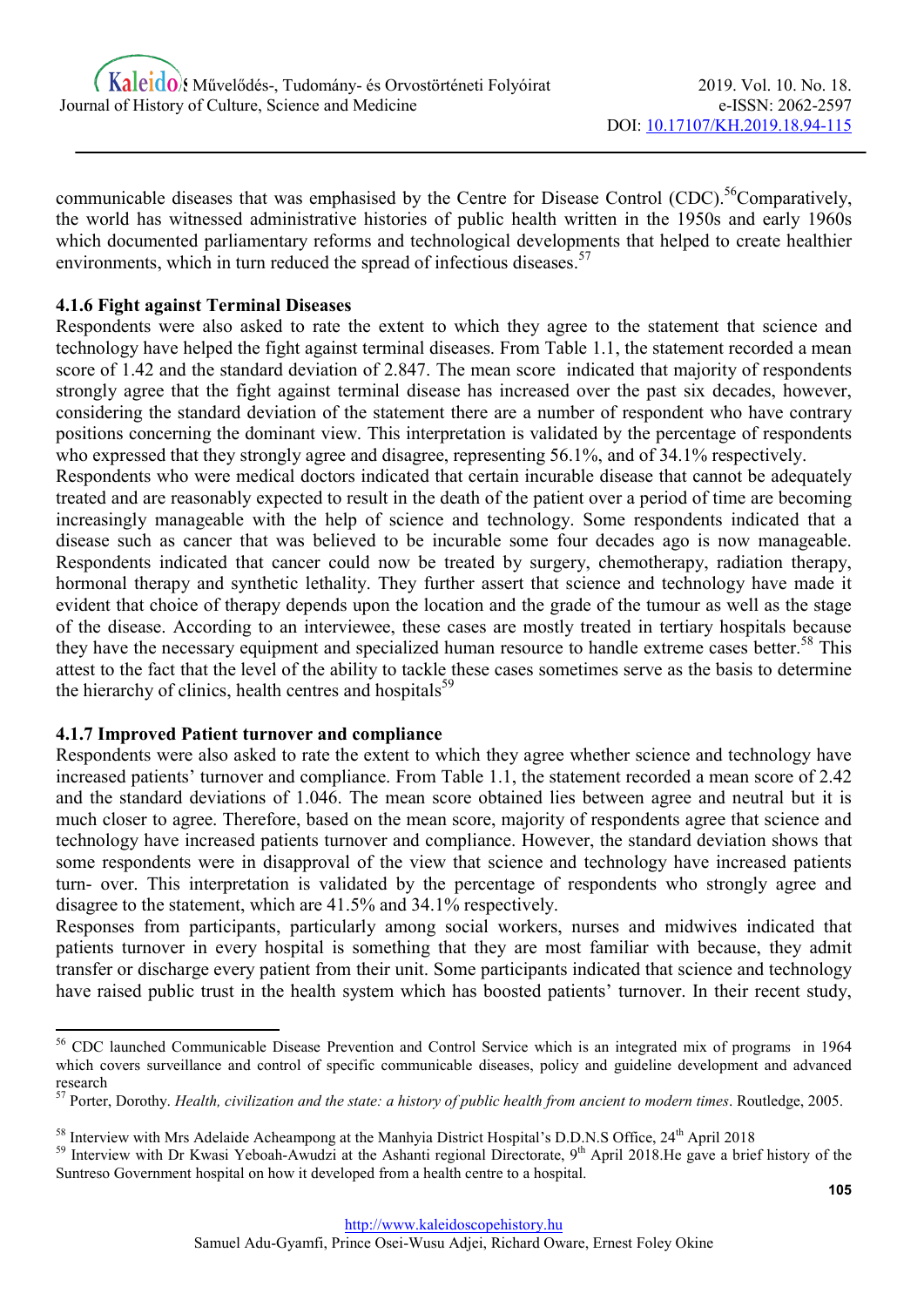communicable diseases that was emphasised by the Centre for Disease Control (CDC).<sup>56</sup>Comparatively, the world has witnessed administrative histories of public health written in the 1950s and early 1960s which documented parliamentary reforms and technological developments that helped to create healthier environments, which in turn reduced the spread of infectious diseases.<sup>57</sup>

# 4.1.6 Fight against Terminal Diseases

Respondents were also asked to rate the extent to which they agree to the statement that science and technology have helped the fight against terminal diseases. From Table 1.1, the statement recorded a mean score of 1.42 and the standard deviation of 2.847. The mean score indicated that majority of respondents strongly agree that the fight against terminal disease has increased over the past six decades, however, considering the standard deviation of the statement there are a number of respondent who have contrary positions concerning the dominant view. This interpretation is validated by the percentage of respondents who expressed that they strongly agree and disagree, representing 56.1%, and of 34.1% respectively.

Respondents who were medical doctors indicated that certain incurable disease that cannot be adequately treated and are reasonably expected to result in the death of the patient over a period of time are becoming increasingly manageable with the help of science and technology. Some respondents indicated that a disease such as cancer that was believed to be incurable some four decades ago is now manageable. Respondents indicated that cancer could now be treated by surgery, chemotherapy, radiation therapy, hormonal therapy and synthetic lethality. They further assert that science and technology have made it evident that choice of therapy depends upon the location and the grade of the tumour as well as the stage of the disease. According to an interviewee, these cases are mostly treated in tertiary hospitals because they have the necessary equipment and specialized human resource to handle extreme cases better.<sup>58</sup> This attest to the fact that the level of the ability to tackle these cases sometimes serve as the basis to determine the hierarchy of clinics, health centres and hospitals $^{59}$ 

# 4.1.7 Improved Patient turnover and compliance

-

Respondents were also asked to rate the extent to which they agree whether science and technology have increased patients' turnover and compliance. From Table 1.1, the statement recorded a mean score of 2.42 and the standard deviations of 1.046. The mean score obtained lies between agree and neutral but it is much closer to agree. Therefore, based on the mean score, majority of respondents agree that science and technology have increased patients turnover and compliance. However, the standard deviation shows that some respondents were in disapproval of the view that science and technology have increased patients turn- over. This interpretation is validated by the percentage of respondents who strongly agree and disagree to the statement, which are 41.5% and 34.1% respectively.

Responses from participants, particularly among social workers, nurses and midwives indicated that patients turnover in every hospital is something that they are most familiar with because, they admit transfer or discharge every patient from their unit. Some participants indicated that science and technology have raised public trust in the health system which has boosted patients' turnover. In their recent study,

<sup>&</sup>lt;sup>56</sup> CDC launched Communicable Disease Prevention and Control Service which is an integrated mix of programs in 1964 which covers surveillance and control of specific communicable diseases, policy and guideline development and advanced research

 $57$  Porter, Dorothy. Health, civilization and the state: a history of public health from ancient to modern times. Routledge, 2005.

<sup>&</sup>lt;sup>58</sup> Interview with Mrs Adelaide Acheampong at the Manhyia District Hospital's D.D.N.S Office, 24<sup>th</sup> April 2018

<sup>&</sup>lt;sup>59</sup> Interview with Dr Kwasi Yeboah-Awudzi at the Ashanti regional Directorate, 9<sup>th</sup> April 2018.He gave a brief history of the Suntreso Government hospital on how it developed from a health centre to a hospital.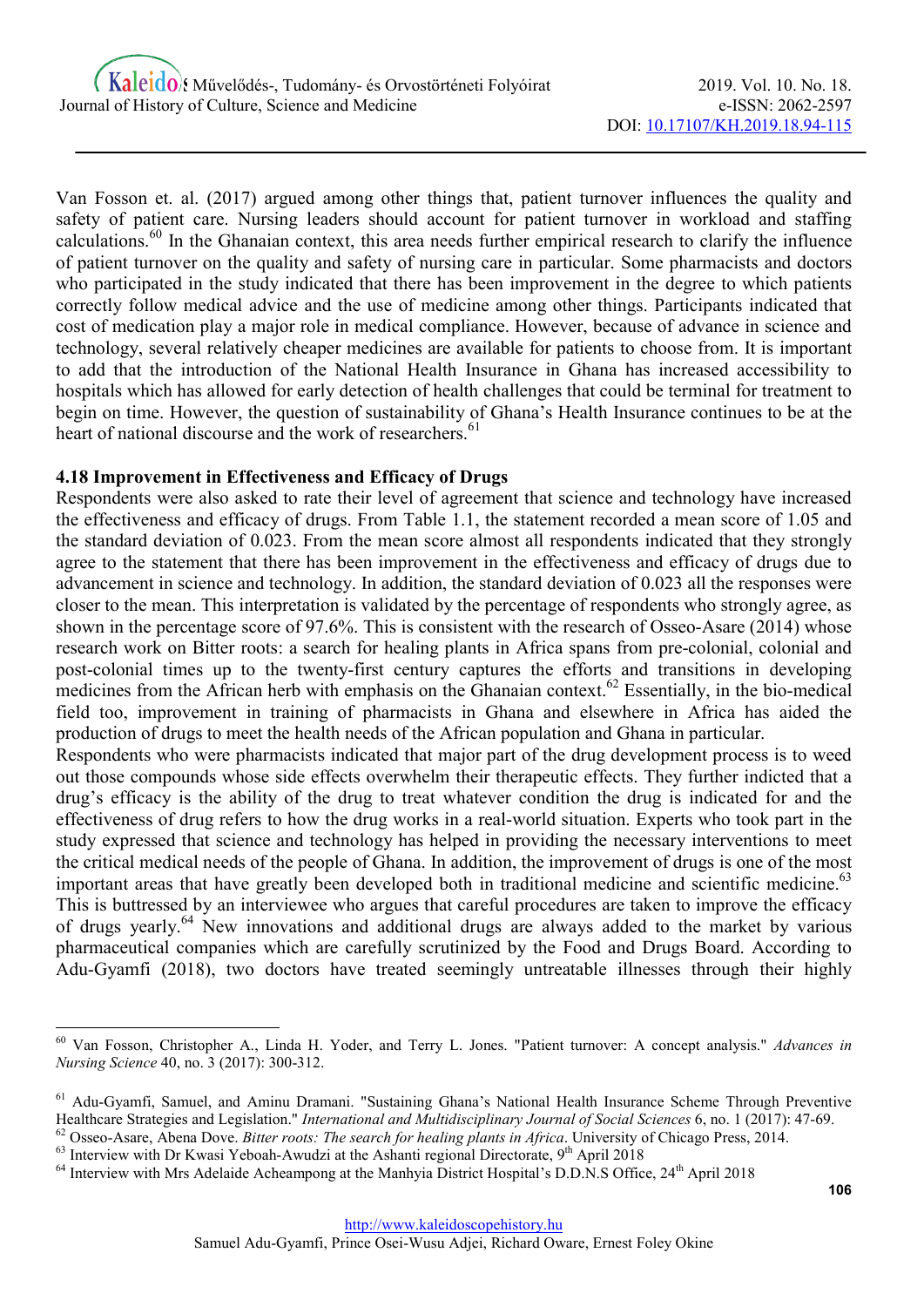Van Fosson et. al. (2017) argued among other things that, patient turnover influences the quality and safety of patient care. Nursing leaders should account for patient turnover in workload and staffing calculations.<sup>60</sup> In the Ghanaian context, this area needs further empirical research to clarify the influence of patient turnover on the quality and safety of nursing care in particular. Some pharmacists and doctors who participated in the study indicated that there has been improvement in the degree to which patients correctly follow medical advice and the use of medicine among other things. Participants indicated that cost of medication play a major role in medical compliance. However, because of advance in science and technology, several relatively cheaper medicines are available for patients to choose from. It is important to add that the introduction of the National Health Insurance in Ghana has increased accessibility to hospitals which has allowed for early detection of health challenges that could be terminal for treatment to begin on time. However, the question of sustainability of Ghana's Health Insurance continues to be at the heart of national discourse and the work of researchers.<sup>61</sup>

#### 4.18 Improvement in Effectiveness and Efficacy of Drugs

Respondents were also asked to rate their level of agreement that science and technology have increased the effectiveness and efficacy of drugs. From Table 1.1, the statement recorded a mean score of 1.05 and the standard deviation of 0.023. From the mean score almost all respondents indicated that they strongly agree to the statement that there has been improvement in the effectiveness and efficacy of drugs due to advancement in science and technology. In addition, the standard deviation of 0.023 all the responses were closer to the mean. This interpretation is validated by the percentage of respondents who strongly agree, as shown in the percentage score of 97.6%. This is consistent with the research of Osseo-Asare (2014) whose research work on Bitter roots: a search for healing plants in Africa spans from pre-colonial, colonial and post-colonial times up to the twenty-first century captures the efforts and transitions in developing medicines from the African herb with emphasis on the Ghanaian context.<sup>62</sup> Essentially, in the bio-medical field too, improvement in training of pharmacists in Ghana and elsewhere in Africa has aided the production of drugs to meet the health needs of the African population and Ghana in particular.

Respondents who were pharmacists indicated that major part of the drug development process is to weed out those compounds whose side effects overwhelm their therapeutic effects. They further indicted that a drug's efficacy is the ability of the drug to treat whatever condition the drug is indicated for and the effectiveness of drug refers to how the drug works in a real-world situation. Experts who took part in the study expressed that science and technology has helped in providing the necessary interventions to meet the critical medical needs of the people of Ghana. In addition, the improvement of drugs is one of the most important areas that have greatly been developed both in traditional medicine and scientific medicine.<sup>63</sup> This is buttressed by an interviewee who argues that careful procedures are taken to improve the efficacy of drugs yearly.<sup>64</sup> New innovations and additional drugs are always added to the market by various pharmaceutical companies which are carefully scrutinized by the Food and Drugs Board. According to Adu-Gyamfi (2018), two doctors have treated seemingly untreatable illnesses through their highly

 $63$  Interview with Dr Kwasi Yeboah-Awudzi at the Ashanti regional Directorate, 9<sup>th</sup> April 2018

<sup>&</sup>lt;sup>60</sup> Van Fosson, Christopher A., Linda H. Yoder, and Terry L. Jones. "Patient turnover: A concept analysis." Advances in Nursing Science 40, no. 3 (2017): 300-312.

<sup>61</sup> Adu-Gyamfi, Samuel, and Aminu Dramani. "Sustaining Ghana's National Health Insurance Scheme Through Preventive Healthcare Strategies and Legislation." International and Multidisciplinary Journal of Social Sciences 6, no. 1 (2017): 47-69.  $62$  Osseo-Asare, Abena Dove. Bitter roots: The search for healing plants in Africa. University of Chicago Press, 2014.

<sup>&</sup>lt;sup>64</sup> Interview with Mrs Adelaide Acheampong at the Manhyia District Hospital's D.D.N.S Office, 24<sup>th</sup> April 2018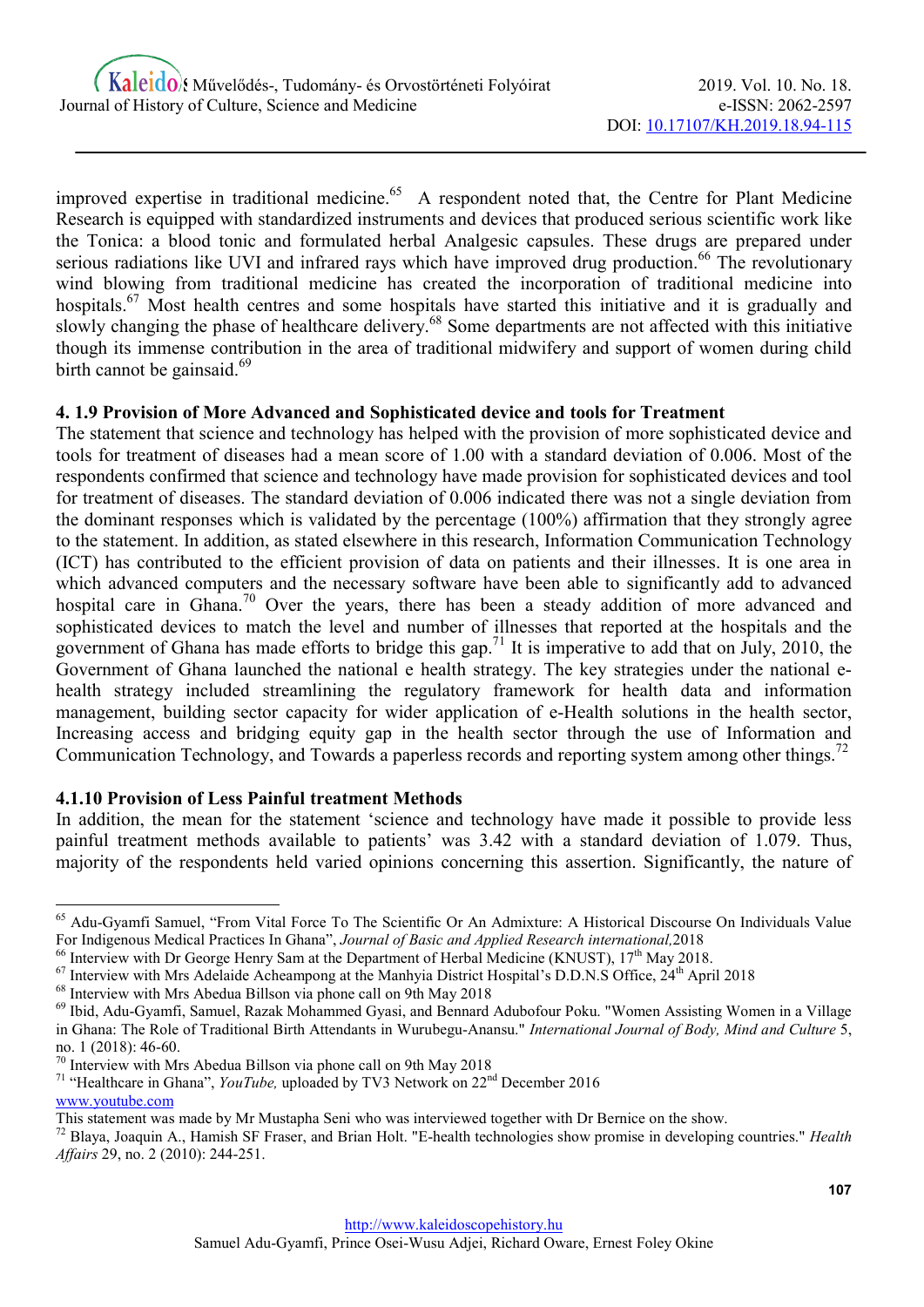improved expertise in traditional medicine.<sup>65</sup> A respondent noted that, the Centre for Plant Medicine Research is equipped with standardized instruments and devices that produced serious scientific work like the Tonica: a blood tonic and formulated herbal Analgesic capsules. These drugs are prepared under serious radiations like UVI and infrared rays which have improved drug production.<sup>66</sup> The revolutionary wind blowing from traditional medicine has created the incorporation of traditional medicine into hospitals.<sup>67</sup> Most health centres and some hospitals have started this initiative and it is gradually and slowly changing the phase of healthcare delivery.<sup>68</sup> Some departments are not affected with this initiative though its immense contribution in the area of traditional midwifery and support of women during child birth cannot be gainsaid. $69$ 

# 4. 1.9 Provision of More Advanced and Sophisticated device and tools for Treatment

The statement that science and technology has helped with the provision of more sophisticated device and tools for treatment of diseases had a mean score of 1.00 with a standard deviation of 0.006. Most of the respondents confirmed that science and technology have made provision for sophisticated devices and tool for treatment of diseases. The standard deviation of 0.006 indicated there was not a single deviation from the dominant responses which is validated by the percentage (100%) affirmation that they strongly agree to the statement. In addition, as stated elsewhere in this research, Information Communication Technology (ICT) has contributed to the efficient provision of data on patients and their illnesses. It is one area in which advanced computers and the necessary software have been able to significantly add to advanced hospital care in Ghana.<sup>70</sup> Over the years, there has been a steady addition of more advanced and sophisticated devices to match the level and number of illnesses that reported at the hospitals and the government of Ghana has made efforts to bridge this gap.<sup>71</sup> It is imperative to add that on July, 2010, the Government of Ghana launched the national e health strategy. The key strategies under the national ehealth strategy included streamlining the regulatory framework for health data and information management, building sector capacity for wider application of e-Health solutions in the health sector, Increasing access and bridging equity gap in the health sector through the use of Information and Communication Technology, and Towards a paperless records and reporting system among other things.<sup>72</sup>

# 4.1.10 Provision of Less Painful treatment Methods

-

In addition, the mean for the statement 'science and technology have made it possible to provide less painful treatment methods available to patients' was 3.42 with a standard deviation of 1.079. Thus, majority of the respondents held varied opinions concerning this assertion. Significantly, the nature of

<sup>68</sup> Interview with Mrs Abedua Billson via phone call on 9th May 2018

<sup>&</sup>lt;sup>65</sup> Adu-Gyamfi Samuel, "From Vital Force To The Scientific Or An Admixture: A Historical Discourse On Individuals Value For Indigenous Medical Practices In Ghana", Journal of Basic and Applied Research international,2018

<sup>&</sup>lt;sup>66</sup> Interview with Dr George Henry Sam at the Department of Herbal Medicine (KNUST), 17<sup>th</sup> May 2018.

<sup>&</sup>lt;sup>67</sup> Interview with Mrs Adelaide Acheampong at the Manhyia District Hospital's D.D.N.S Office, 24<sup>th</sup> April 2018

<sup>69</sup> Ibid, Adu-Gyamfi, Samuel, Razak Mohammed Gyasi, and Bennard Adubofour Poku. "Women Assisting Women in a Village in Ghana: The Role of Traditional Birth Attendants in Wurubegu-Anansu." International Journal of Body, Mind and Culture 5, no. 1 (2018): 46-60.

<sup>&</sup>lt;sup>70</sup> Interview with Mrs Abedua Billson via phone call on 9th May 2018

<sup>&</sup>lt;sup>71</sup> "Healthcare in Ghana", YouTube, uploaded by TV3 Network on  $22<sup>nd</sup>$  December 2016 www.youtube.com

This statement was made by Mr Mustapha Seni who was interviewed together with Dr Bernice on the show.

 $72$  Blaya, Joaquin A., Hamish SF Fraser, and Brian Holt. "E-health technologies show promise in developing countries." Health Affairs 29, no. 2 (2010): 244-251.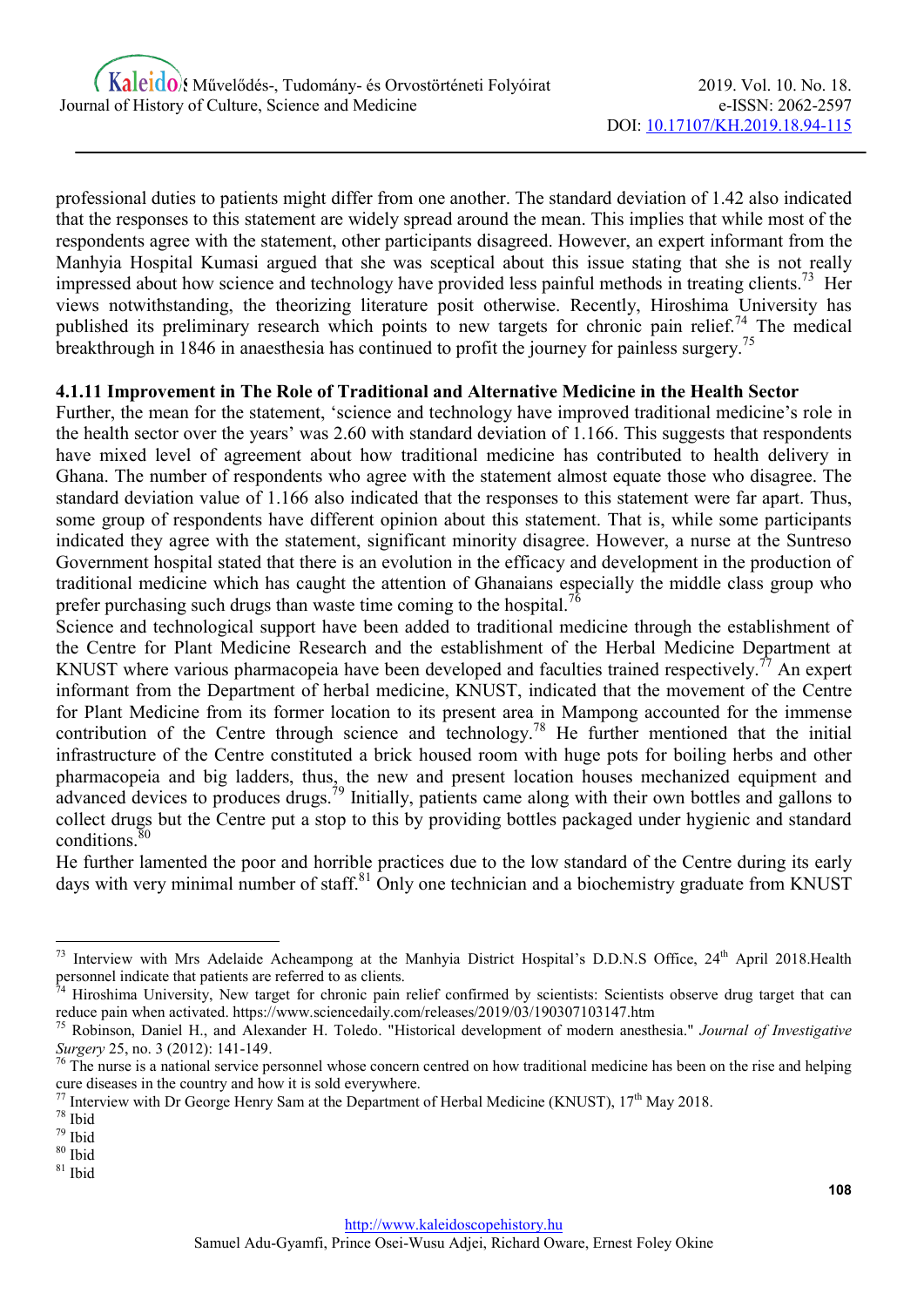professional duties to patients might differ from one another. The standard deviation of 1.42 also indicated that the responses to this statement are widely spread around the mean. This implies that while most of the respondents agree with the statement, other participants disagreed. However, an expert informant from the Manhyia Hospital Kumasi argued that she was sceptical about this issue stating that she is not really impressed about how science and technology have provided less painful methods in treating clients.<sup>73</sup> Her views notwithstanding, the theorizing literature posit otherwise. Recently, Hiroshima University has published its preliminary research which points to new targets for chronic pain relief.<sup>74</sup> The medical breakthrough in 1846 in anaesthesia has continued to profit the journey for painless surgery.<sup>75</sup>

# 4.1.11 Improvement in The Role of Traditional and Alternative Medicine in the Health Sector

Further, the mean for the statement, 'science and technology have improved traditional medicine's role in the health sector over the years' was 2.60 with standard deviation of 1.166. This suggests that respondents have mixed level of agreement about how traditional medicine has contributed to health delivery in Ghana. The number of respondents who agree with the statement almost equate those who disagree. The standard deviation value of 1.166 also indicated that the responses to this statement were far apart. Thus, some group of respondents have different opinion about this statement. That is, while some participants indicated they agree with the statement, significant minority disagree. However, a nurse at the Suntreso Government hospital stated that there is an evolution in the efficacy and development in the production of traditional medicine which has caught the attention of Ghanaians especially the middle class group who prefer purchasing such drugs than waste time coming to the hospital.<sup>76</sup>

Science and technological support have been added to traditional medicine through the establishment of the Centre for Plant Medicine Research and the establishment of the Herbal Medicine Department at KNUST where various pharmacopeia have been developed and faculties trained respectively.<sup>77</sup> An expert informant from the Department of herbal medicine, KNUST, indicated that the movement of the Centre for Plant Medicine from its former location to its present area in Mampong accounted for the immense contribution of the Centre through science and technology.<sup>78</sup> He further mentioned that the initial infrastructure of the Centre constituted a brick housed room with huge pots for boiling herbs and other pharmacopeia and big ladders, thus, the new and present location houses mechanized equipment and advanced devices to produces drugs.<sup>79</sup> Initially, patients came along with their own bottles and gallons to collect drugs but the Centre put a stop to this by providing bottles packaged under hygienic and standard conditions. $8$ 

He further lamented the poor and horrible practices due to the low standard of the Centre during its early days with very minimal number of staff.<sup>81</sup> Only one technician and a biochemistry graduate from KNUST

 $81$  Ibid

<sup>73</sup> Interview with Mrs Adelaide Acheampong at the Manhyia District Hospital's D.D.N.S Office, 24<sup>th</sup> April 2018.Health personnel indicate that patients are referred to as clients.

Hiroshima University, New target for chronic pain relief confirmed by scientists: Scientists observe drug target that can reduce pain when activated. https://www.sciencedaily.com/releases/2019/03/190307103147.htm

Robinson, Daniel H., and Alexander H. Toledo. "Historical development of modern anesthesia." Journal of Investigative Surgery 25, no. 3 (2012): 141-149.

 $^{76}$  The nurse is a national service personnel whose concern centred on how traditional medicine has been on the rise and helping cure diseases in the country and how it is sold everywhere.

 $^{77}$  Interview with Dr George Henry Sam at the Department of Herbal Medicine (KNUST), 17<sup>th</sup> May 2018.

<sup>78</sup> Ibid

<sup>79</sup> Ibid

 $80$  Ibid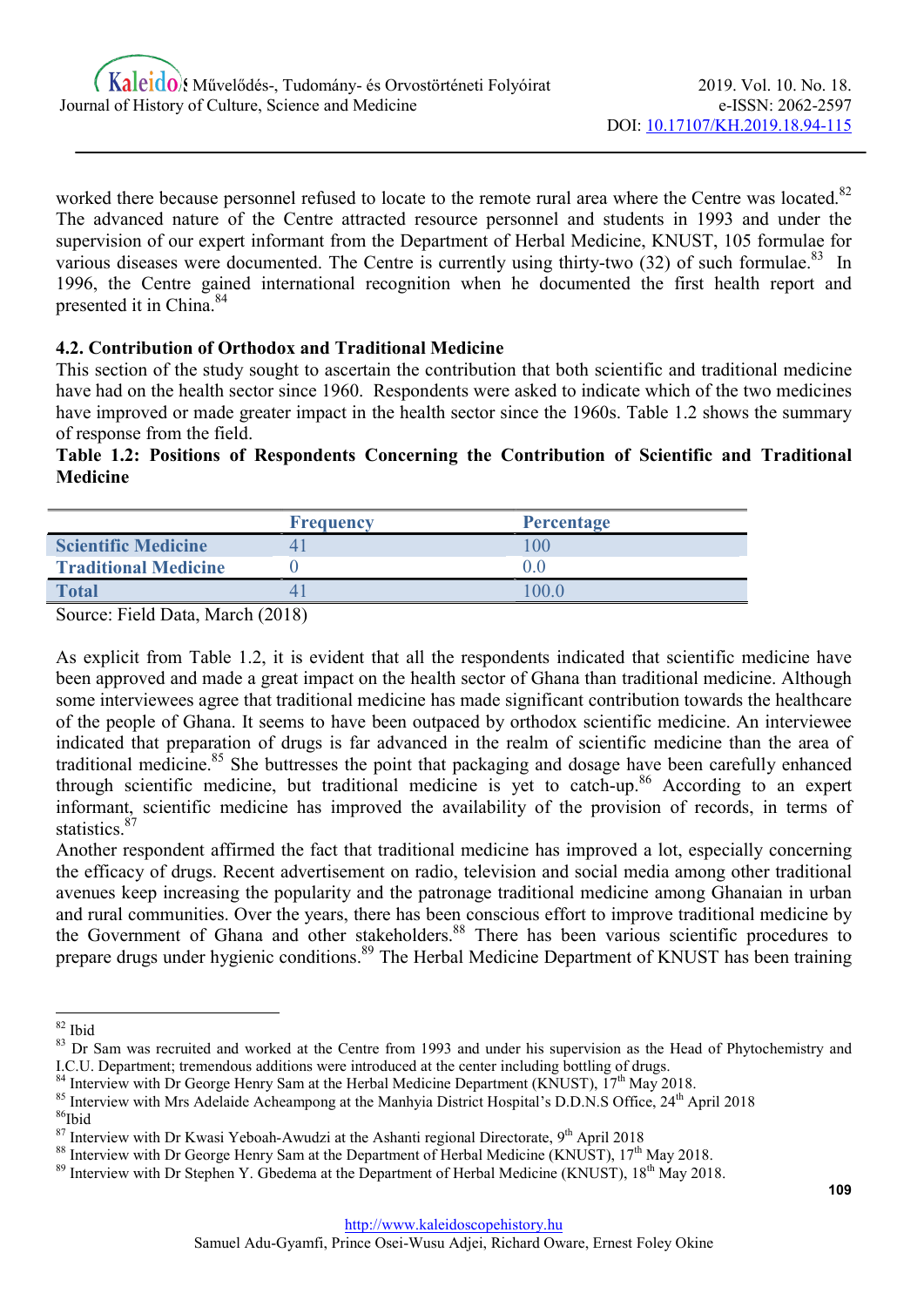worked there because personnel refused to locate to the remote rural area where the Centre was located.<sup>82</sup> The advanced nature of the Centre attracted resource personnel and students in 1993 and under the supervision of our expert informant from the Department of Herbal Medicine, KNUST, 105 formulae for various diseases were documented. The Centre is currently using thirty-two  $(32)$  of such formulae.<sup>83</sup> In 1996, the Centre gained international recognition when he documented the first health report and presented it in China.<sup>84</sup>

# 4.2. Contribution of Orthodox and Traditional Medicine

This section of the study sought to ascertain the contribution that both scientific and traditional medicine have had on the health sector since 1960. Respondents were asked to indicate which of the two medicines have improved or made greater impact in the health sector since the 1960s. Table 1.2 shows the summary of response from the field.

# Table 1.2: Positions of Respondents Concerning the Contribution of Scientific and Traditional Medicine

|                             | <b>Frequency</b> | <b>Percentage</b> |
|-----------------------------|------------------|-------------------|
| <b>Scientific Medicine</b>  |                  | 0 <sup>0</sup>    |
| <b>Traditional Medicine</b> |                  |                   |
| <b>Total</b>                | 4                | 0.00              |

Source: Field Data, March (2018)

As explicit from Table 1.2, it is evident that all the respondents indicated that scientific medicine have been approved and made a great impact on the health sector of Ghana than traditional medicine. Although some interviewees agree that traditional medicine has made significant contribution towards the healthcare of the people of Ghana. It seems to have been outpaced by orthodox scientific medicine. An interviewee indicated that preparation of drugs is far advanced in the realm of scientific medicine than the area of traditional medicine.<sup>85</sup> She buttresses the point that packaging and dosage have been carefully enhanced through scientific medicine, but traditional medicine is yet to catch-up.<sup>86</sup> According to an expert informant, scientific medicine has improved the availability of the provision of records, in terms of statistics.<sup>87</sup>

Another respondent affirmed the fact that traditional medicine has improved a lot, especially concerning the efficacy of drugs. Recent advertisement on radio, television and social media among other traditional avenues keep increasing the popularity and the patronage traditional medicine among Ghanaian in urban and rural communities. Over the years, there has been conscious effort to improve traditional medicine by the Government of Ghana and other stakeholders.<sup>88</sup> There has been various scientific procedures to prepare drugs under hygienic conditions.<sup>89</sup> The Herbal Medicine Department of KNUST has been training

<sup>-</sup><sup>82</sup> Ibid

<sup>&</sup>lt;sup>83</sup> Dr Sam was recruited and worked at the Centre from 1993 and under his supervision as the Head of Phytochemistry and I.C.U. Department; tremendous additions were introduced at the center including bottling of drugs.

 $84$  Interview with Dr George Henry Sam at the Herbal Medicine Department (KNUST),  $17<sup>th</sup>$  May 2018.

<sup>&</sup>lt;sup>85</sup> Interview with Mrs Adelaide Acheampong at the Manhyia District Hospital's D.D.N.S Office, 24<sup>th</sup> April 2018

<sup>86</sup>Ibid

 $87$  Interview with Dr Kwasi Yeboah-Awudzi at the Ashanti regional Directorate, 9<sup>th</sup> April 2018

<sup>&</sup>lt;sup>88</sup> Interview with Dr George Henry Sam at the Department of Herbal Medicine (KNUST), 17<sup>th</sup> May 2018.

<sup>&</sup>lt;sup>89</sup> Interview with Dr Stephen Y. Gbedema at the Department of Herbal Medicine (KNUST), 18<sup>th</sup> May 2018.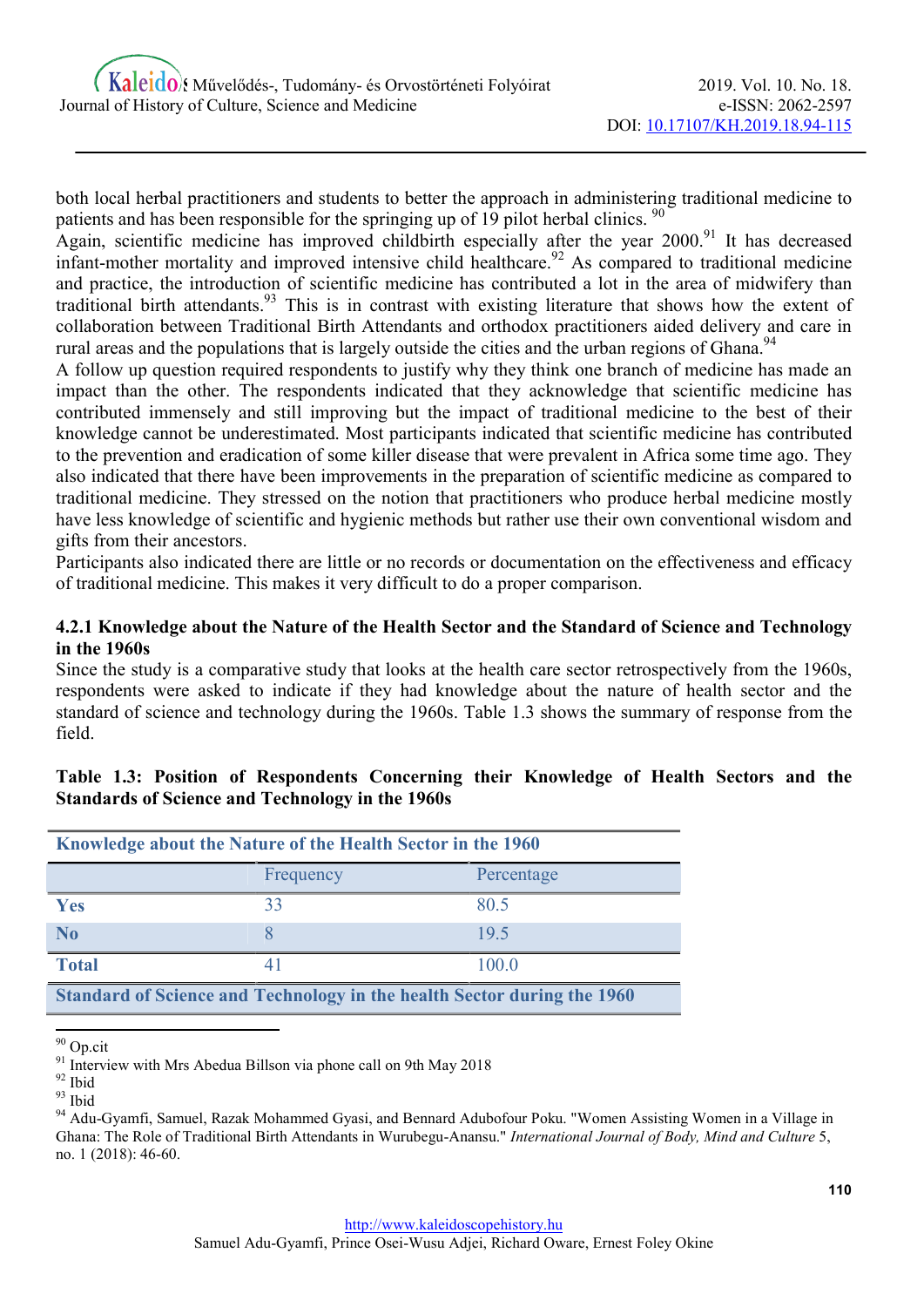both local herbal practitioners and students to better the approach in administering traditional medicine to patients and has been responsible for the springing up of 19 pilot herbal clinics.<sup>90</sup>

Again, scientific medicine has improved childbirth especially after the year  $2000$ .<sup>91</sup> It has decreased infant-mother mortality and improved intensive child healthcare.<sup>92</sup> As compared to traditional medicine and practice, the introduction of scientific medicine has contributed a lot in the area of midwifery than traditional birth attendants.<sup>93</sup> This is in contrast with existing literature that shows how the extent of collaboration between Traditional Birth Attendants and orthodox practitioners aided delivery and care in rural areas and the populations that is largely outside the cities and the urban regions of Ghana.<sup>94</sup>

A follow up question required respondents to justify why they think one branch of medicine has made an impact than the other. The respondents indicated that they acknowledge that scientific medicine has contributed immensely and still improving but the impact of traditional medicine to the best of their knowledge cannot be underestimated. Most participants indicated that scientific medicine has contributed to the prevention and eradication of some killer disease that were prevalent in Africa some time ago. They also indicated that there have been improvements in the preparation of scientific medicine as compared to traditional medicine. They stressed on the notion that practitioners who produce herbal medicine mostly have less knowledge of scientific and hygienic methods but rather use their own conventional wisdom and gifts from their ancestors.

Participants also indicated there are little or no records or documentation on the effectiveness and efficacy of traditional medicine. This makes it very difficult to do a proper comparison.

#### 4.2.1 Knowledge about the Nature of the Health Sector and the Standard of Science and Technology in the 1960s

Since the study is a comparative study that looks at the health care sector retrospectively from the 1960s, respondents were asked to indicate if they had knowledge about the nature of health sector and the standard of science and technology during the 1960s. Table 1.3 shows the summary of response from the field.

#### Table 1.3: Position of Respondents Concerning their Knowledge of Health Sectors and the Standards of Science and Technology in the 1960s

| Knowledge about the Nature of the Health Sector in the 1960             |           |            |  |  |
|-------------------------------------------------------------------------|-----------|------------|--|--|
|                                                                         | Frequency | Percentage |  |  |
| <b>Yes</b>                                                              | 33        | 80.5       |  |  |
| N <sub>0</sub>                                                          |           | 19.5       |  |  |
| <b>Total</b>                                                            | 41        | 100.0      |  |  |
| Standard of Science and Technology in the health Sector during the 1960 |           |            |  |  |

<sup>&</sup>lt;sup>90</sup> Op.cit

<sup>&</sup>lt;sup>91</sup> Interview with Mrs Abedua Billson via phone call on 9th May 2018

<sup>92</sup> Ibid

<sup>93</sup> Ibid

<sup>94</sup> Adu-Gyamfi, Samuel, Razak Mohammed Gyasi, and Bennard Adubofour Poku. "Women Assisting Women in a Village in Ghana: The Role of Traditional Birth Attendants in Wurubegu-Anansu." International Journal of Body, Mind and Culture 5, no. 1 (2018): 46-60.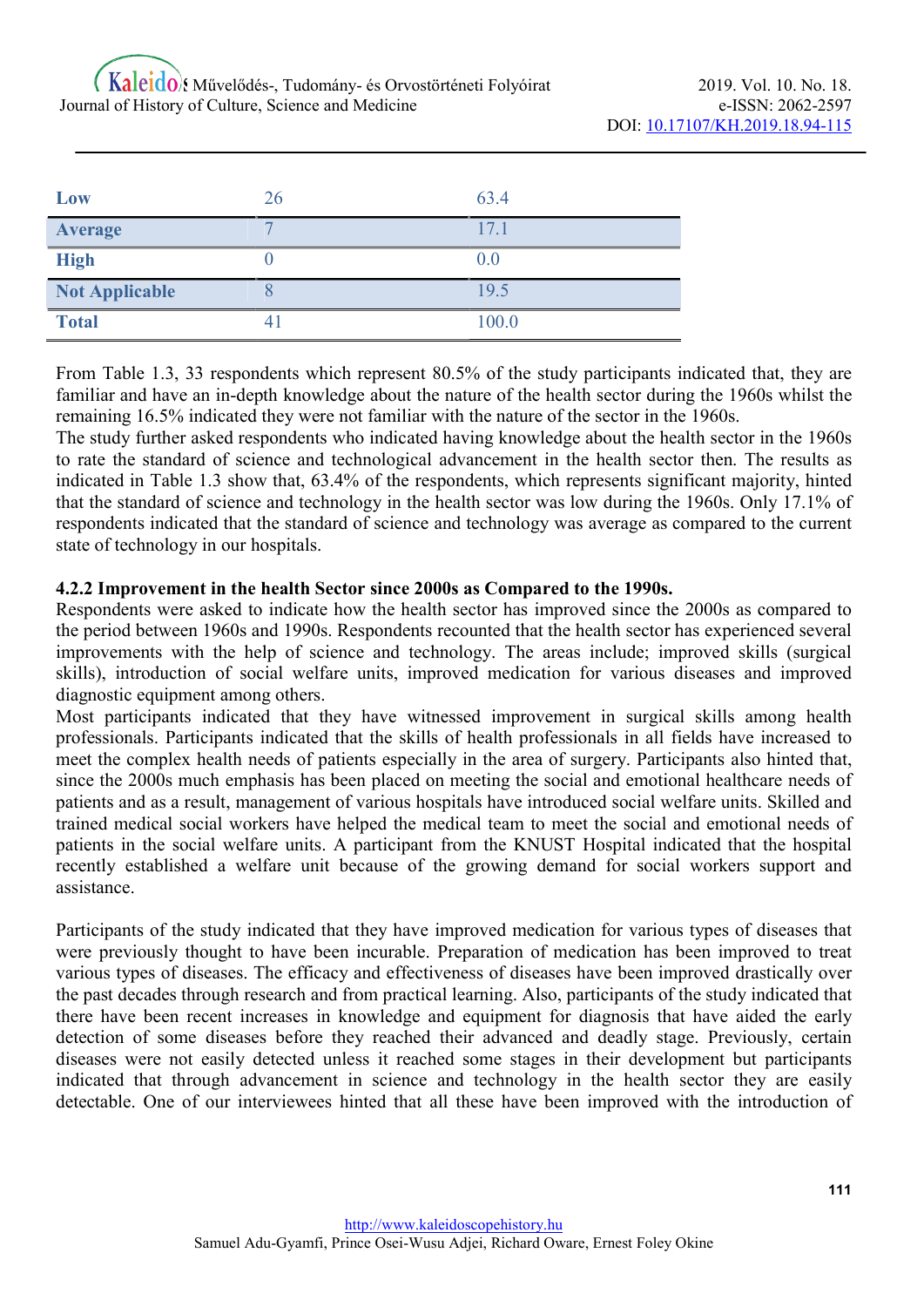| Low                   | 26 | 63.4  |
|-----------------------|----|-------|
| Average               |    | 17.1  |
| <b>High</b>           |    | 0.0   |
| <b>Not Applicable</b> |    | 19.5  |
| <b>Total</b>          | 41 | 100.0 |

From Table 1.3, 33 respondents which represent 80.5% of the study participants indicated that, they are familiar and have an in-depth knowledge about the nature of the health sector during the 1960s whilst the remaining 16.5% indicated they were not familiar with the nature of the sector in the 1960s.

The study further asked respondents who indicated having knowledge about the health sector in the 1960s to rate the standard of science and technological advancement in the health sector then. The results as indicated in Table 1.3 show that, 63.4% of the respondents, which represents significant majority, hinted that the standard of science and technology in the health sector was low during the 1960s. Only 17.1% of respondents indicated that the standard of science and technology was average as compared to the current state of technology in our hospitals.

#### 4.2.2 Improvement in the health Sector since 2000s as Compared to the 1990s.

Respondents were asked to indicate how the health sector has improved since the 2000s as compared to the period between 1960s and 1990s. Respondents recounted that the health sector has experienced several improvements with the help of science and technology. The areas include; improved skills (surgical skills), introduction of social welfare units, improved medication for various diseases and improved diagnostic equipment among others.

Most participants indicated that they have witnessed improvement in surgical skills among health professionals. Participants indicated that the skills of health professionals in all fields have increased to meet the complex health needs of patients especially in the area of surgery. Participants also hinted that, since the 2000s much emphasis has been placed on meeting the social and emotional healthcare needs of patients and as a result, management of various hospitals have introduced social welfare units. Skilled and trained medical social workers have helped the medical team to meet the social and emotional needs of patients in the social welfare units. A participant from the KNUST Hospital indicated that the hospital recently established a welfare unit because of the growing demand for social workers support and assistance.

Participants of the study indicated that they have improved medication for various types of diseases that were previously thought to have been incurable. Preparation of medication has been improved to treat various types of diseases. The efficacy and effectiveness of diseases have been improved drastically over the past decades through research and from practical learning. Also, participants of the study indicated that there have been recent increases in knowledge and equipment for diagnosis that have aided the early detection of some diseases before they reached their advanced and deadly stage. Previously, certain diseases were not easily detected unless it reached some stages in their development but participants indicated that through advancement in science and technology in the health sector they are easily detectable. One of our interviewees hinted that all these have been improved with the introduction of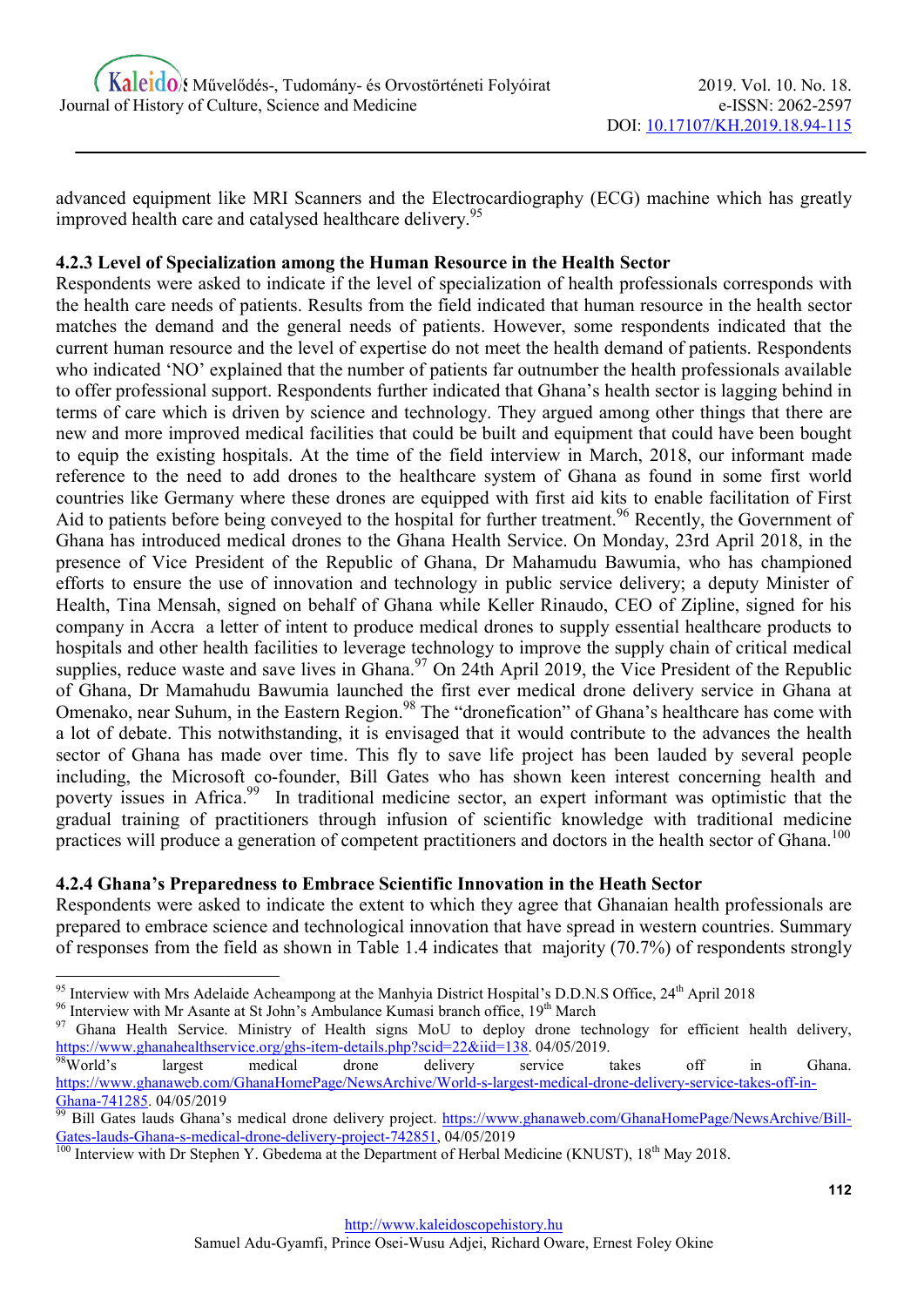advanced equipment like MRI Scanners and the Electrocardiography (ECG) machine which has greatly improved health care and catalysed healthcare delivery.<sup>95</sup>

# 4.2.3 Level of Specialization among the Human Resource in the Health Sector

Respondents were asked to indicate if the level of specialization of health professionals corresponds with the health care needs of patients. Results from the field indicated that human resource in the health sector matches the demand and the general needs of patients. However, some respondents indicated that the current human resource and the level of expertise do not meet the health demand of patients. Respondents who indicated 'NO' explained that the number of patients far outnumber the health professionals available to offer professional support. Respondents further indicated that Ghana's health sector is lagging behind in terms of care which is driven by science and technology. They argued among other things that there are new and more improved medical facilities that could be built and equipment that could have been bought to equip the existing hospitals. At the time of the field interview in March, 2018, our informant made reference to the need to add drones to the healthcare system of Ghana as found in some first world countries like Germany where these drones are equipped with first aid kits to enable facilitation of First Aid to patients before being conveved to the hospital for further treatment.<sup>96</sup> Recently, the Government of Ghana has introduced medical drones to the Ghana Health Service. On Monday, 23rd April 2018, in the presence of Vice President of the Republic of Ghana, Dr Mahamudu Bawumia, who has championed efforts to ensure the use of innovation and technology in public service delivery; a deputy Minister of Health, Tina Mensah, signed on behalf of Ghana while Keller Rinaudo, CEO of Zipline, signed for his company in Accra a letter of intent to produce medical drones to supply essential healthcare products to hospitals and other health facilities to leverage technology to improve the supply chain of critical medical supplies, reduce waste and save lives in Ghana.<sup>97</sup> On 24th April 2019, the Vice President of the Republic of Ghana, Dr Mamahudu Bawumia launched the first ever medical drone delivery service in Ghana at Omenako, near Suhum, in the Eastern Region.<sup>98</sup> The "dronefication" of Ghana's healthcare has come with a lot of debate. This notwithstanding, it is envisaged that it would contribute to the advances the health sector of Ghana has made over time. This fly to save life project has been lauded by several people including, the Microsoft co-founder, Bill Gates who has shown keen interest concerning health and poverty issues in Africa.<sup>99</sup> In traditional medicine sector, an expert informant was optimistic that the gradual training of practitioners through infusion of scientific knowledge with traditional medicine practices will produce a generation of competent practitioners and doctors in the health sector of Ghana.<sup>100</sup>

# 4.2.4 Ghana's Preparedness to Embrace Scientific Innovation in the Heath Sector

Respondents were asked to indicate the extent to which they agree that Ghanaian health professionals are prepared to embrace science and technological innovation that have spread in western countries. Summary of responses from the field as shown in Table 1.4 indicates that majority (70.7%) of respondents strongly

<sup>96</sup> Interview with Mr Asante at St John's Ambulance Kumasi branch office, 19<sup>th</sup> March

<sup>&</sup>lt;sup>95</sup> Interview with Mrs Adelaide Acheampong at the Manhyia District Hospital's D.D.N.S Office, 24<sup>th</sup> April 2018

<sup>&</sup>lt;sup>97</sup> Ghana Health Service. Ministry of Health signs MoU to deploy drone technology for efficient health delivery, https://www.ghanahealthservice.org/ghs-item-details.php?scid=22&iid=138. 04/05/2019.

<sup>&</sup>lt;sup>98</sup>World's largest medical drone delivery service takes off in Ghana. https://www.ghanaweb.com/GhanaHomePage/NewsArchive/World-s-largest-medical-drone-delivery-service-takes-off-in-Ghana-741285. 04/05/2019

<sup>&</sup>lt;sup>99</sup> Bill Gates lauds Ghana's medical drone delivery project. https://www.ghanaweb.com/GhanaHomePage/NewsArchive/Bill-Gates-lauds-Ghana-s-medical-drone-delivery-project-742851, 04/05/2019

<sup>&</sup>lt;sup>100</sup> Interview with Dr Stephen Y. Gbedema at the Department of Herbal Medicine (KNUST), 18<sup>th</sup> May 2018.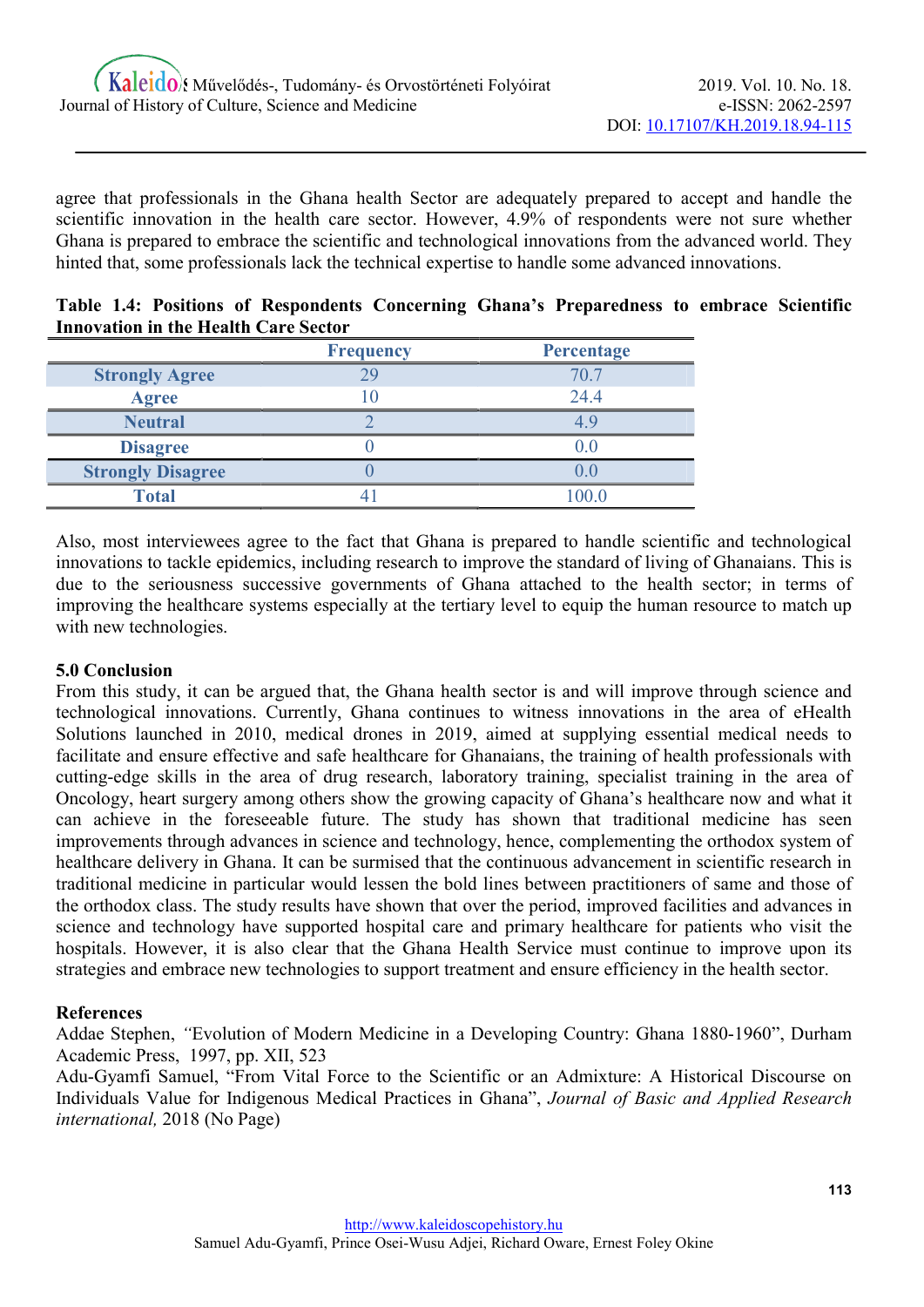agree that professionals in the Ghana health Sector are adequately prepared to accept and handle the scientific innovation in the health care sector. However, 4.9% of respondents were not sure whether Ghana is prepared to embrace the scientific and technological innovations from the advanced world. They hinted that, some professionals lack the technical expertise to handle some advanced innovations.

| Table 1.4: Positions of Respondents Concerning Ghana's Preparedness to embrace Scientific |  |  |  |  |
|-------------------------------------------------------------------------------------------|--|--|--|--|
| <b>Innovation in the Health Care Sector</b>                                               |  |  |  |  |
|                                                                                           |  |  |  |  |

|                          | <b>Frequency</b> | <b>Percentage</b> |
|--------------------------|------------------|-------------------|
| <b>Strongly Agree</b>    | 29               | 70.7              |
| <b>Agree</b>             |                  | 24.4              |
| <b>Neutral</b>           |                  |                   |
| <b>Disagree</b>          |                  | (0.0)             |
| <b>Strongly Disagree</b> |                  | $J_{\cdot}$       |
| <b>Total</b>             |                  | 100 በ             |

Also, most interviewees agree to the fact that Ghana is prepared to handle scientific and technological innovations to tackle epidemics, including research to improve the standard of living of Ghanaians. This is due to the seriousness successive governments of Ghana attached to the health sector; in terms of improving the healthcare systems especially at the tertiary level to equip the human resource to match up with new technologies.

# 5.0 Conclusion

From this study, it can be argued that, the Ghana health sector is and will improve through science and technological innovations. Currently, Ghana continues to witness innovations in the area of eHealth Solutions launched in 2010, medical drones in 2019, aimed at supplying essential medical needs to facilitate and ensure effective and safe healthcare for Ghanaians, the training of health professionals with cutting-edge skills in the area of drug research, laboratory training, specialist training in the area of Oncology, heart surgery among others show the growing capacity of Ghana's healthcare now and what it can achieve in the foreseeable future. The study has shown that traditional medicine has seen improvements through advances in science and technology, hence, complementing the orthodox system of healthcare delivery in Ghana. It can be surmised that the continuous advancement in scientific research in traditional medicine in particular would lessen the bold lines between practitioners of same and those of the orthodox class. The study results have shown that over the period, improved facilities and advances in science and technology have supported hospital care and primary healthcare for patients who visit the hospitals. However, it is also clear that the Ghana Health Service must continue to improve upon its strategies and embrace new technologies to support treatment and ensure efficiency in the health sector.

#### **References**

Addae Stephen, "Evolution of Modern Medicine in a Developing Country: Ghana 1880-1960", Durham Academic Press, 1997, pp. XII, 523

Adu-Gyamfi Samuel, "From Vital Force to the Scientific or an Admixture: A Historical Discourse on Individuals Value for Indigenous Medical Practices in Ghana", Journal of Basic and Applied Research international, 2018 (No Page)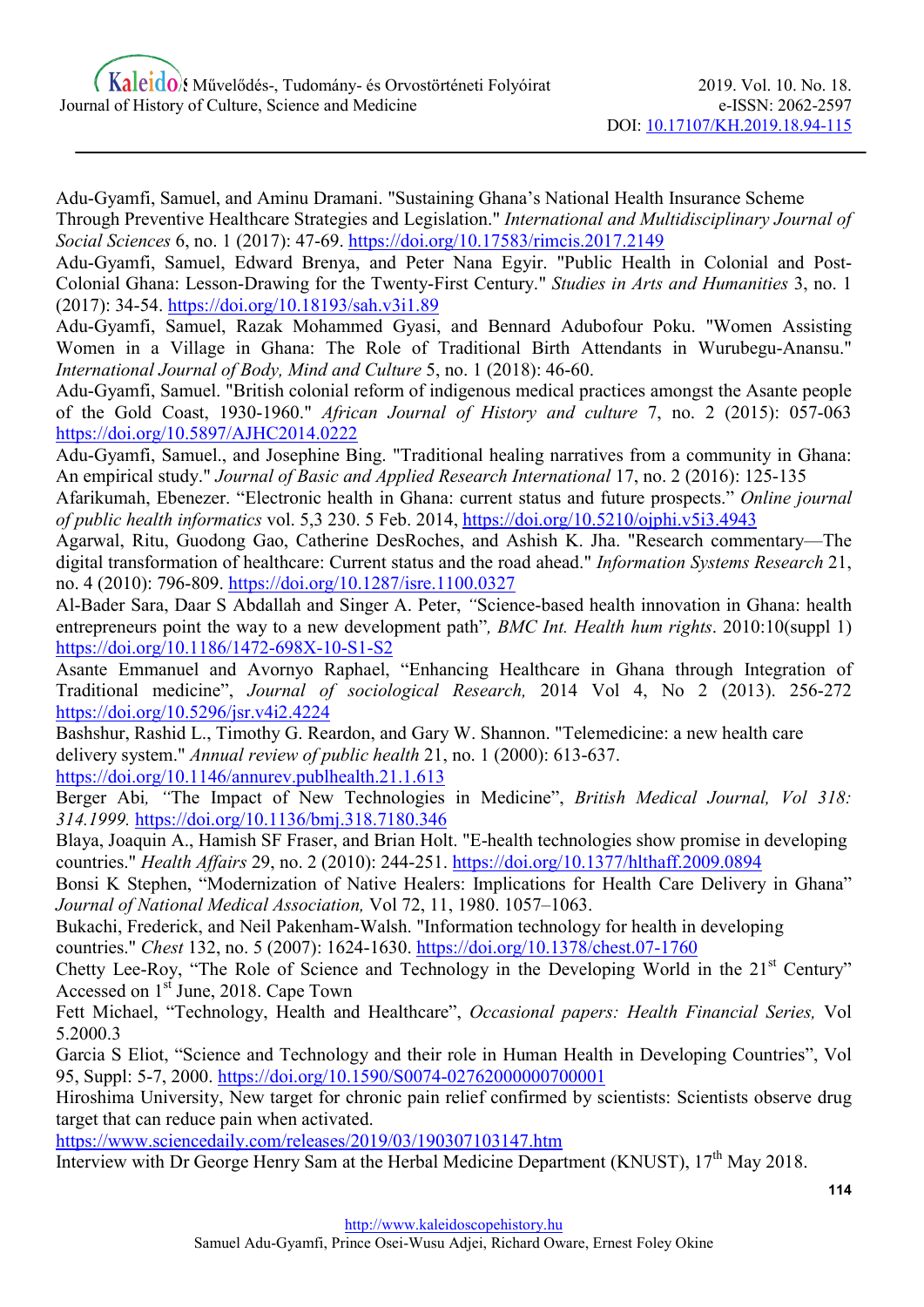Adu-Gyamfi, Samuel, and Aminu Dramani. "Sustaining Ghana's National Health Insurance Scheme Through Preventive Healthcare Strategies and Legislation." International and Multidisciplinary Journal of Social Sciences 6, no. 1 (2017): 47-69. https://doi.org/10.17583/rimcis.2017.2149

Adu-Gyamfi, Samuel, Edward Brenya, and Peter Nana Egyir. "Public Health in Colonial and Post-Colonial Ghana: Lesson-Drawing for the Twenty-First Century." Studies in Arts and Humanities 3, no. 1 (2017): 34-54. https://doi.org/10.18193/sah.v3i1.89

Adu-Gyamfi, Samuel, Razak Mohammed Gyasi, and Bennard Adubofour Poku. "Women Assisting Women in a Village in Ghana: The Role of Traditional Birth Attendants in Wurubegu-Anansu." International Journal of Body, Mind and Culture 5, no. 1 (2018): 46-60.

Adu-Gyamfi, Samuel. "British colonial reform of indigenous medical practices amongst the Asante people of the Gold Coast, 1930-1960." African Journal of History and culture 7, no. 2 (2015): 057-063 https://doi.org/10.5897/AJHC2014.0222

Adu-Gyamfi, Samuel., and Josephine Bing. "Traditional healing narratives from a community in Ghana: An empirical study." Journal of Basic and Applied Research International 17, no. 2 (2016): 125-135

Afarikumah, Ebenezer. "Electronic health in Ghana: current status and future prospects." Online journal of public health informatics vol. 5,3 230. 5 Feb. 2014, https://doi.org/10.5210/ojphi.v5i3.4943

Agarwal, Ritu, Guodong Gao, Catherine DesRoches, and Ashish K. Jha. "Research commentary—The digital transformation of healthcare: Current status and the road ahead." Information Systems Research 21, no. 4 (2010): 796-809. https://doi.org/10.1287/isre.1100.0327

Al-Bader Sara, Daar S Abdallah and Singer A. Peter, "Science-based health innovation in Ghana: health entrepreneurs point the way to a new development path", *BMC Int. Health hum rights*. 2010:10(suppl 1) https://doi.org/10.1186/1472-698X-10-S1-S2

Asante Emmanuel and Avornyo Raphael, "Enhancing Healthcare in Ghana through Integration of Traditional medicine", Journal of sociological Research, 2014 Vol 4, No 2 (2013). 256-272 https://doi.org/10.5296/jsr.v4i2.4224

Bashshur, Rashid L., Timothy G. Reardon, and Gary W. Shannon. "Telemedicine: a new health care delivery system." Annual review of public health 21, no. 1 (2000): 613-637. https://doi.org/10.1146/annurev.publhealth.21.1.613

Berger Abi, "The Impact of New Technologies in Medicine", British Medical Journal, Vol 318: 314.1999. https://doi.org/10.1136/bmj.318.7180.346

Blaya, Joaquin A., Hamish SF Fraser, and Brian Holt. "E-health technologies show promise in developing countries." Health Affairs 29, no. 2 (2010): 244-251. https://doi.org/10.1377/hlthaff.2009.0894

Bonsi K Stephen, "Modernization of Native Healers: Implications for Health Care Delivery in Ghana" Journal of National Medical Association, Vol 72, 11, 1980. 1057–1063.

Bukachi, Frederick, and Neil Pakenham-Walsh. "Information technology for health in developing

countries." Chest 132, no. 5 (2007): 1624-1630. https://doi.org/10.1378/chest.07-1760

Chetty Lee-Roy, "The Role of Science and Technology in the Developing World in the 21<sup>st</sup> Century" Accessed on 1<sup>st</sup> June, 2018. Cape Town

Fett Michael, "Technology, Health and Healthcare", Occasional papers: Health Financial Series, Vol 5.2000.3

Garcia S Eliot, "Science and Technology and their role in Human Health in Developing Countries", Vol 95, Suppl: 5-7, 2000. https://doi.org/10.1590/S0074-02762000000700001

Hiroshima University, New target for chronic pain relief confirmed by scientists: Scientists observe drug target that can reduce pain when activated.

https://www.sciencedaily.com/releases/2019/03/190307103147.htm

Interview with Dr George Henry Sam at the Herbal Medicine Department (KNUST), 17<sup>th</sup> May 2018.